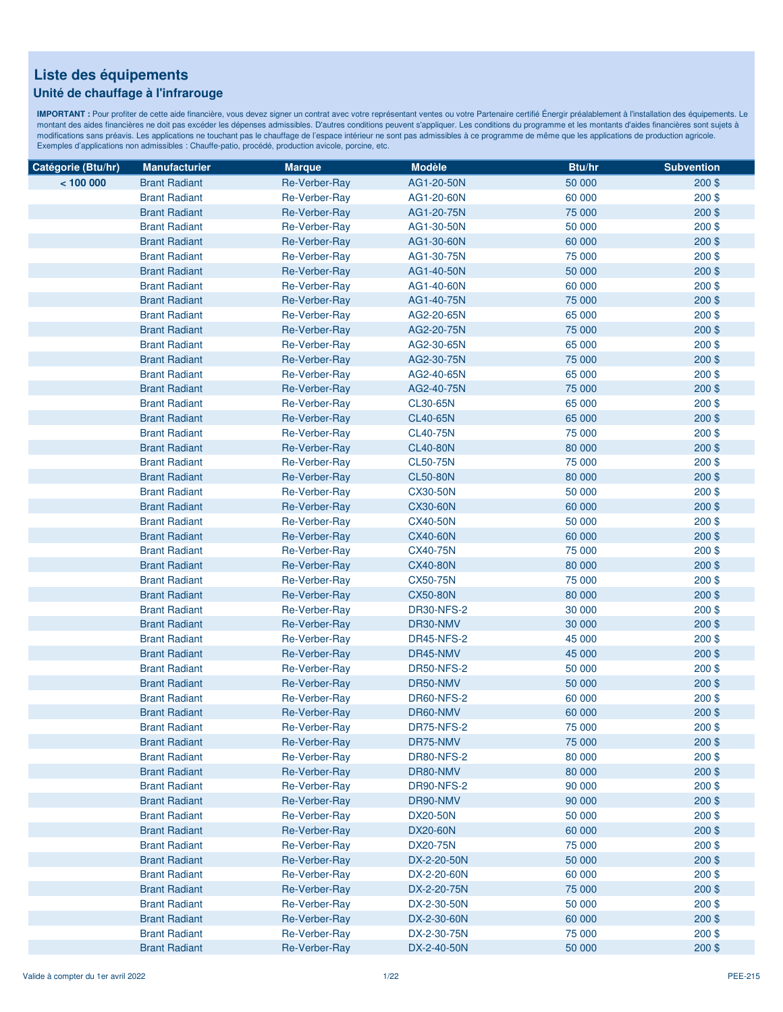#### **Unité de chauffage à l'infrarouge**

| Catégorie (Btu/hr) | <b>Manufacturier</b> | <b>Marque</b> | <b>Modèle</b>     | Btu/hr | <b>Subvention</b> |
|--------------------|----------------------|---------------|-------------------|--------|-------------------|
| < 100000           | <b>Brant Radiant</b> | Re-Verber-Ray | AG1-20-50N        | 50 000 | $200$ \$          |
|                    | <b>Brant Radiant</b> | Re-Verber-Ray | AG1-20-60N        | 60 000 | $200$ \$          |
|                    | <b>Brant Radiant</b> | Re-Verber-Ray | AG1-20-75N        | 75 000 | $200$ \$          |
|                    | <b>Brant Radiant</b> | Re-Verber-Ray | AG1-30-50N        | 50 000 | $200$ \$          |
|                    | <b>Brant Radiant</b> | Re-Verber-Ray | AG1-30-60N        | 60 000 | $200$ \$          |
|                    | <b>Brant Radiant</b> | Re-Verber-Ray | AG1-30-75N        | 75 000 | 200\$             |
|                    | <b>Brant Radiant</b> | Re-Verber-Ray | AG1-40-50N        | 50 000 | 200\$             |
|                    | <b>Brant Radiant</b> | Re-Verber-Ray | AG1-40-60N        | 60 000 | 200\$             |
|                    | <b>Brant Radiant</b> | Re-Verber-Ray | AG1-40-75N        | 75 000 | 200\$             |
|                    | <b>Brant Radiant</b> | Re-Verber-Ray | AG2-20-65N        | 65 000 | 200\$             |
|                    | <b>Brant Radiant</b> | Re-Verber-Ray | AG2-20-75N        | 75 000 | $200$ \$          |
|                    | <b>Brant Radiant</b> | Re-Verber-Ray | AG2-30-65N        | 65 000 | $200$ \$          |
|                    | <b>Brant Radiant</b> | Re-Verber-Ray | AG2-30-75N        | 75 000 | 200\$             |
|                    | <b>Brant Radiant</b> | Re-Verber-Ray | AG2-40-65N        | 65 000 | $200$ \$          |
|                    | <b>Brant Radiant</b> | Re-Verber-Ray | AG2-40-75N        | 75 000 | 200\$             |
|                    | <b>Brant Radiant</b> | Re-Verber-Ray | CL30-65N          | 65 000 | $200$ \$          |
|                    | <b>Brant Radiant</b> | Re-Verber-Ray | <b>CL40-65N</b>   | 65 000 | $200$ \$          |
|                    | <b>Brant Radiant</b> | Re-Verber-Ray | <b>CL40-75N</b>   | 75 000 | $200$ \$          |
|                    | <b>Brant Radiant</b> | Re-Verber-Ray | <b>CL40-80N</b>   | 80 000 | $200$ \$          |
|                    | <b>Brant Radiant</b> | Re-Verber-Ray | <b>CL50-75N</b>   | 75 000 | $200$ \$          |
|                    | <b>Brant Radiant</b> | Re-Verber-Ray | <b>CL50-80N</b>   | 80 000 | $200$ \$          |
|                    | <b>Brant Radiant</b> | Re-Verber-Ray | <b>CX30-50N</b>   | 50 000 | 200\$             |
|                    | <b>Brant Radiant</b> | Re-Verber-Ray | <b>CX30-60N</b>   | 60 000 | $200$ \$          |
|                    | <b>Brant Radiant</b> | Re-Verber-Ray | <b>CX40-50N</b>   | 50 000 | $200$ \$          |
|                    | <b>Brant Radiant</b> | Re-Verber-Ray | <b>CX40-60N</b>   | 60 000 | $200$ \$          |
|                    | <b>Brant Radiant</b> | Re-Verber-Ray | <b>CX40-75N</b>   | 75 000 | $200$ \$          |
|                    | <b>Brant Radiant</b> | Re-Verber-Ray | <b>CX40-80N</b>   | 80 000 | $200$ \$          |
|                    | <b>Brant Radiant</b> | Re-Verber-Ray | <b>CX50-75N</b>   | 75 000 | $200$ \$          |
|                    | <b>Brant Radiant</b> | Re-Verber-Ray | <b>CX50-80N</b>   | 80 000 | $200$ \$          |
|                    | <b>Brant Radiant</b> | Re-Verber-Ray | <b>DR30-NFS-2</b> | 30 000 | $200$ \$          |
|                    | <b>Brant Radiant</b> | Re-Verber-Ray | DR30-NMV          | 30 000 | 200\$             |
|                    | <b>Brant Radiant</b> | Re-Verber-Ray | <b>DR45-NFS-2</b> | 45 000 | $200$ \$          |
|                    | <b>Brant Radiant</b> | Re-Verber-Ray | DR45-NMV          | 45 000 | $200$ \$          |
|                    | <b>Brant Radiant</b> | Re-Verber-Ray | <b>DR50-NFS-2</b> | 50 000 | 200\$             |
|                    | <b>Brant Radiant</b> | Re-Verber-Ray | DR50-NMV          | 50 000 | $200$ \$          |
|                    | <b>Brant Radiant</b> | Re-Verber-Ray | DR60-NFS-2        | 60 000 | $200$ \$          |
|                    | <b>Brant Radiant</b> | Re-Verber-Ray | DR60-NMV          | 60 000 | 200\$             |
|                    | <b>Brant Radiant</b> | Re-Verber-Ray | <b>DR75-NFS-2</b> | 75 000 | 200\$             |
|                    | <b>Brant Radiant</b> | Re-Verber-Ray | DR75-NMV          | 75 000 | $200$ \$          |
|                    | <b>Brant Radiant</b> | Re-Verber-Ray | <b>DR80-NFS-2</b> | 80 000 | $200$ \$          |
|                    | <b>Brant Radiant</b> | Re-Verber-Ray | DR80-NMV          | 80 000 | $200$ \$          |
|                    | <b>Brant Radiant</b> | Re-Verber-Ray | <b>DR90-NFS-2</b> | 90 000 | $200$ \$          |
|                    | <b>Brant Radiant</b> | Re-Verber-Ray | DR90-NMV          | 90 000 | $200$ \$          |
|                    | <b>Brant Radiant</b> | Re-Verber-Ray | <b>DX20-50N</b>   | 50 000 | $200$ \$          |
|                    | <b>Brant Radiant</b> | Re-Verber-Ray | <b>DX20-60N</b>   | 60 000 | $200$ \$          |
|                    | <b>Brant Radiant</b> | Re-Verber-Ray | <b>DX20-75N</b>   | 75 000 | $200$ \$          |
|                    | <b>Brant Radiant</b> | Re-Verber-Ray | DX-2-20-50N       | 50 000 | $200$ \$          |
|                    | <b>Brant Radiant</b> | Re-Verber-Ray | DX-2-20-60N       | 60 000 | $200$ \$          |
|                    | <b>Brant Radiant</b> | Re-Verber-Ray | DX-2-20-75N       | 75 000 | $200$ \$          |
|                    | <b>Brant Radiant</b> | Re-Verber-Ray | DX-2-30-50N       | 50 000 | $200$ \$          |
|                    | <b>Brant Radiant</b> | Re-Verber-Ray | DX-2-30-60N       | 60 000 | $200$ \$          |
|                    | <b>Brant Radiant</b> | Re-Verber-Ray | DX-2-30-75N       | 75 000 | $200$ \$          |
|                    | <b>Brant Radiant</b> | Re-Verber-Ray | DX-2-40-50N       | 50 000 | 200\$             |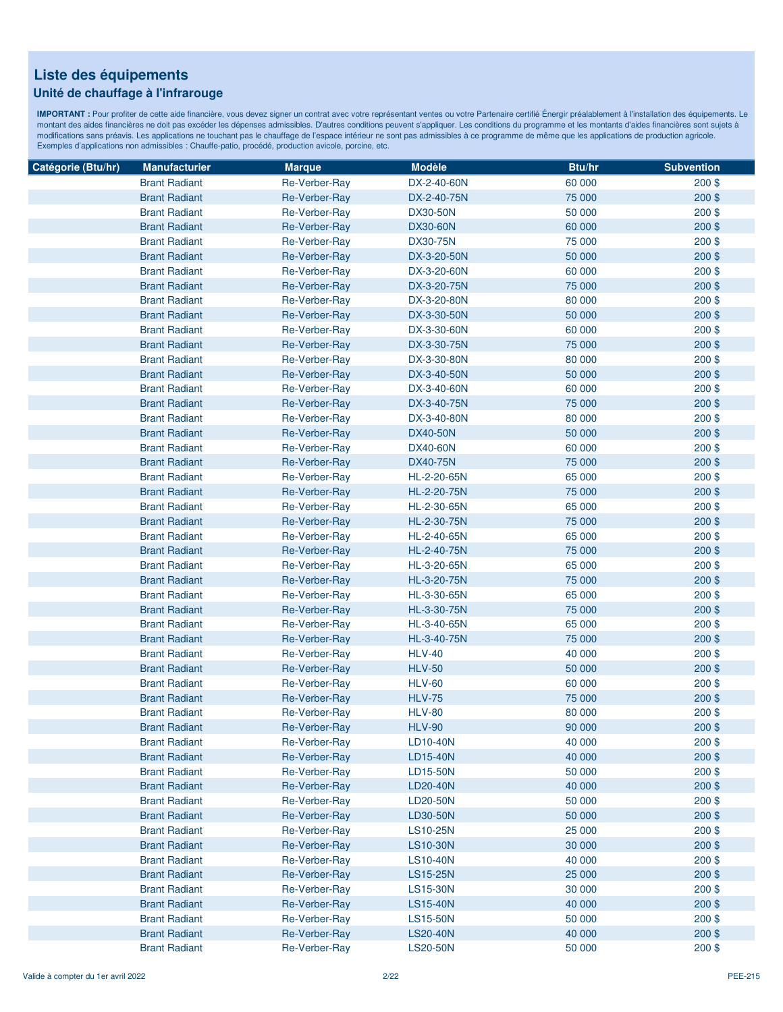### **Unité de chauffage à l'infrarouge**

| Catégorie (Btu/hr) | <b>Manufacturier</b> | <b>Marque</b>        | <b>Modèle</b>   | Btu/hr | <b>Subvention</b> |
|--------------------|----------------------|----------------------|-----------------|--------|-------------------|
|                    | <b>Brant Radiant</b> | Re-Verber-Ray        | DX-2-40-60N     | 60 000 | $200$ \$          |
|                    | <b>Brant Radiant</b> | Re-Verber-Ray        | DX-2-40-75N     | 75 000 | $200$ \$          |
|                    | <b>Brant Radiant</b> | Re-Verber-Ray        | <b>DX30-50N</b> | 50 000 | $200$ \$          |
|                    | <b>Brant Radiant</b> | Re-Verber-Ray        | <b>DX30-60N</b> | 60 000 | $200$ \$          |
|                    | <b>Brant Radiant</b> | Re-Verber-Ray        | <b>DX30-75N</b> | 75 000 | 200\$             |
|                    | <b>Brant Radiant</b> | Re-Verber-Ray        | DX-3-20-50N     | 50 000 | 200\$             |
|                    | <b>Brant Radiant</b> | Re-Verber-Ray        | DX-3-20-60N     | 60 000 | $200$ \$          |
|                    | <b>Brant Radiant</b> | Re-Verber-Ray        | DX-3-20-75N     | 75 000 | 200\$             |
|                    | <b>Brant Radiant</b> | Re-Verber-Ray        | DX-3-20-80N     | 80 000 | 200\$             |
|                    | <b>Brant Radiant</b> | Re-Verber-Ray        | DX-3-30-50N     | 50 000 | $200$ \$          |
|                    | <b>Brant Radiant</b> | Re-Verber-Ray        | DX-3-30-60N     | 60 000 | $200$ \$          |
|                    | <b>Brant Radiant</b> | Re-Verber-Ray        | DX-3-30-75N     | 75 000 | 200\$             |
|                    | <b>Brant Radiant</b> | Re-Verber-Ray        | DX-3-30-80N     | 80 000 | $200$ \$          |
|                    | <b>Brant Radiant</b> | Re-Verber-Ray        | DX-3-40-50N     | 50 000 | $200$ \$          |
|                    | <b>Brant Radiant</b> | Re-Verber-Ray        | DX-3-40-60N     | 60 000 | $200$ \$          |
|                    | <b>Brant Radiant</b> | Re-Verber-Ray        | DX-3-40-75N     | 75 000 | $200$ \$          |
|                    | <b>Brant Radiant</b> | Re-Verber-Ray        | DX-3-40-80N     | 80 000 | 200\$             |
|                    | <b>Brant Radiant</b> | Re-Verber-Ray        | <b>DX40-50N</b> | 50 000 | 200\$             |
|                    | <b>Brant Radiant</b> | Re-Verber-Ray        | <b>DX40-60N</b> | 60 000 | $200$ \$          |
|                    | <b>Brant Radiant</b> | Re-Verber-Ray        | <b>DX40-75N</b> | 75 000 | $200$ \$          |
|                    | <b>Brant Radiant</b> | Re-Verber-Ray        | HL-2-20-65N     | 65 000 | 200\$             |
|                    | <b>Brant Radiant</b> | Re-Verber-Ray        | HL-2-20-75N     | 75 000 | $200$ \$          |
|                    | <b>Brant Radiant</b> | <b>Re-Verber-Ray</b> | HL-2-30-65N     | 65 000 | $200$ \$          |
|                    | <b>Brant Radiant</b> | Re-Verber-Ray        | HL-2-30-75N     | 75 000 | $200$ \$          |
|                    | <b>Brant Radiant</b> | Re-Verber-Ray        | HL-2-40-65N     | 65 000 | $200$ \$          |
|                    | <b>Brant Radiant</b> | Re-Verber-Ray        | HL-2-40-75N     | 75 000 | $200$ \$          |
|                    | <b>Brant Radiant</b> | Re-Verber-Ray        | HL-3-20-65N     | 65 000 | $200$ \$          |
|                    | <b>Brant Radiant</b> | Re-Verber-Ray        | HL-3-20-75N     | 75 000 | $200$ \$          |
|                    | <b>Brant Radiant</b> | Re-Verber-Ray        | HL-3-30-65N     | 65 000 | $200$ \$          |
|                    | <b>Brant Radiant</b> | Re-Verber-Ray        | HL-3-30-75N     | 75 000 | 200\$             |
|                    | <b>Brant Radiant</b> | Re-Verber-Ray        | HL-3-40-65N     | 65 000 | 200\$             |
|                    | <b>Brant Radiant</b> | Re-Verber-Ray        | HL-3-40-75N     | 75 000 | $200$ \$          |
|                    | <b>Brant Radiant</b> | Re-Verber-Ray        | <b>HLV-40</b>   | 40 000 | 200\$             |
|                    | <b>Brant Radiant</b> | Re-Verber-Ray        | <b>HLV-50</b>   | 50 000 | 200\$             |
|                    | <b>Brant Radiant</b> | Re-Verber-Ray        | <b>HLV-60</b>   | 60 000 | $200$ \$          |
|                    | <b>Brant Radiant</b> | <b>Re-Verber-Ray</b> | <b>HLV-75</b>   | 75 000 | $200$ \$          |
|                    | <b>Brant Radiant</b> | Re-Verber-Ray        | <b>HLV-80</b>   | 80 000 | $200$ \$          |
|                    | <b>Brant Radiant</b> | <b>Re-Verber-Ray</b> | <b>HLV-90</b>   | 90 000 | $200$ \$          |
|                    | <b>Brant Radiant</b> | Re-Verber-Ray        | LD10-40N        | 40 000 | $200$ \$          |
|                    | <b>Brant Radiant</b> | Re-Verber-Ray        | LD15-40N        | 40 000 | $200$ \$          |
|                    | <b>Brant Radiant</b> | Re-Verber-Ray        | LD15-50N        | 50 000 | $200$ \$          |
|                    | <b>Brant Radiant</b> | Re-Verber-Ray        | LD20-40N        | 40 000 | $200$ \$          |
|                    | <b>Brant Radiant</b> | Re-Verber-Ray        | LD20-50N        | 50 000 | 200\$             |
|                    | <b>Brant Radiant</b> | Re-Verber-Ray        | LD30-50N        | 50 000 | $200$ \$          |
|                    | <b>Brant Radiant</b> | Re-Verber-Ray        | <b>LS10-25N</b> | 25 000 | $200$ \$          |
|                    | <b>Brant Radiant</b> | Re-Verber-Ray        | <b>LS10-30N</b> | 30 000 | $200$ \$          |
|                    | <b>Brant Radiant</b> | Re-Verber-Ray        | <b>LS10-40N</b> | 40 000 | $200$ \$          |
|                    | <b>Brant Radiant</b> | Re-Verber-Ray        | LS15-25N        | 25 000 | $200$ \$          |
|                    | <b>Brant Radiant</b> | Re-Verber-Ray        | <b>LS15-30N</b> | 30 000 | $200$ \$          |
|                    | <b>Brant Radiant</b> | Re-Verber-Ray        | <b>LS15-40N</b> | 40 000 | $200$ \$          |
|                    | <b>Brant Radiant</b> | Re-Verber-Ray        | <b>LS15-50N</b> | 50 000 | $200$ \$          |
|                    | <b>Brant Radiant</b> | Re-Verber-Ray        | <b>LS20-40N</b> | 40 000 | $200$ \$          |
|                    | <b>Brant Radiant</b> | Re-Verber-Ray        | <b>LS20-50N</b> | 50 000 | 200\$             |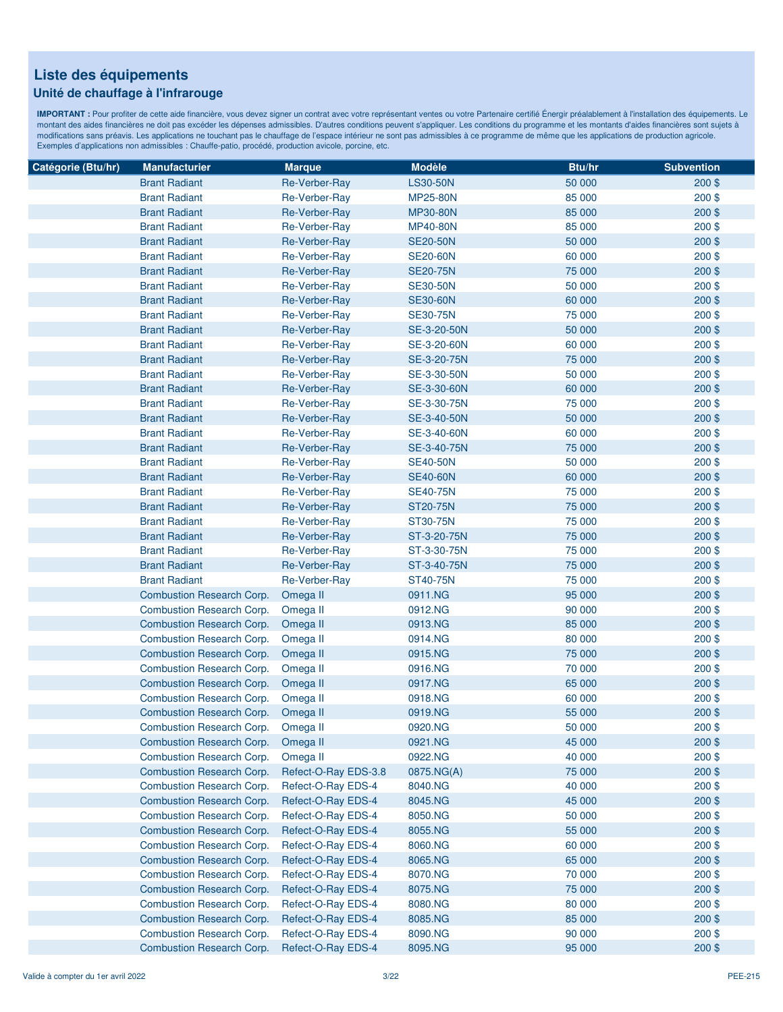### **Unité de chauffage à l'infrarouge**

| Catégorie (Btu/hr) | <b>Manufacturier</b>                                          | <b>Marque</b>                            | <b>Modèle</b>      | Btu/hr           | <b>Subvention</b>    |
|--------------------|---------------------------------------------------------------|------------------------------------------|--------------------|------------------|----------------------|
|                    | <b>Brant Radiant</b>                                          | Re-Verber-Ray                            | <b>LS30-50N</b>    | 50 000           | $200$ \$             |
|                    | <b>Brant Radiant</b>                                          | Re-Verber-Ray                            | <b>MP25-80N</b>    | 85 000           | $200$ \$             |
|                    | <b>Brant Radiant</b>                                          | Re-Verber-Ray                            | <b>MP30-80N</b>    | 85 000           | 200\$                |
|                    | <b>Brant Radiant</b>                                          | Re-Verber-Ray                            | <b>MP40-80N</b>    | 85 000           | 200\$                |
|                    | <b>Brant Radiant</b>                                          | Re-Verber-Ray                            | <b>SE20-50N</b>    | 50 000           | 200\$                |
|                    | <b>Brant Radiant</b>                                          | Re-Verber-Ray                            | <b>SE20-60N</b>    | 60 000           | 200\$                |
|                    | <b>Brant Radiant</b>                                          | Re-Verber-Ray                            | <b>SE20-75N</b>    | 75 000           | 200\$                |
|                    | <b>Brant Radiant</b>                                          | Re-Verber-Ray                            | <b>SE30-50N</b>    | 50 000           | 200\$                |
|                    | <b>Brant Radiant</b>                                          | Re-Verber-Ray                            | <b>SE30-60N</b>    | 60 000           | 200\$                |
|                    | <b>Brant Radiant</b>                                          | Re-Verber-Ray                            | <b>SE30-75N</b>    | 75 000           | 200\$                |
|                    | <b>Brant Radiant</b>                                          | <b>Re-Verber-Ray</b>                     | SE-3-20-50N        | 50 000           | 200\$                |
|                    | <b>Brant Radiant</b>                                          | Re-Verber-Ray                            | SE-3-20-60N        | 60 000           | 200\$                |
|                    | <b>Brant Radiant</b>                                          | Re-Verber-Ray                            | SE-3-20-75N        | 75 000           | 200\$                |
|                    | <b>Brant Radiant</b>                                          | <b>Re-Verber-Ray</b>                     | SE-3-30-50N        | 50 000           | $200$ \$             |
|                    | <b>Brant Radiant</b>                                          | Re-Verber-Ray                            | SE-3-30-60N        | 60 000           | 200\$                |
|                    | <b>Brant Radiant</b>                                          | Re-Verber-Ray                            | SE-3-30-75N        | 75 000           | 200\$                |
|                    | <b>Brant Radiant</b>                                          | Re-Verber-Ray                            | SE-3-40-50N        | 50 000           | 200\$                |
|                    | <b>Brant Radiant</b>                                          | Re-Verber-Ray                            | SE-3-40-60N        | 60 000           | 200\$                |
|                    | <b>Brant Radiant</b>                                          | Re-Verber-Ray                            | SE-3-40-75N        | 75 000           | 200\$                |
|                    | <b>Brant Radiant</b>                                          | Re-Verber-Ray                            | <b>SE40-50N</b>    | 50 000           | 200\$                |
|                    | <b>Brant Radiant</b>                                          | Re-Verber-Ray                            | <b>SE40-60N</b>    | 60 000           | 200\$                |
|                    | <b>Brant Radiant</b>                                          | Re-Verber-Ray                            | <b>SE40-75N</b>    | 75 000           | 200\$                |
|                    | <b>Brant Radiant</b>                                          | Re-Verber-Ray                            | <b>ST20-75N</b>    | 75 000           | $200$ \$             |
|                    | <b>Brant Radiant</b>                                          | Re-Verber-Ray                            | <b>ST30-75N</b>    | 75 000           | 200\$                |
|                    | <b>Brant Radiant</b>                                          | Re-Verber-Ray                            | ST-3-20-75N        | 75 000           | 200\$                |
|                    | <b>Brant Radiant</b>                                          | Re-Verber-Ray                            | ST-3-30-75N        | 75 000           | $200$ \$             |
|                    | <b>Brant Radiant</b>                                          | Re-Verber-Ray                            | ST-3-40-75N        | 75 000           | 200\$                |
|                    | <b>Brant Radiant</b>                                          | Re-Verber-Ray                            | ST40-75N           | 75 000           | 200\$                |
|                    | <b>Combustion Research Corp.</b>                              | Omega II                                 | 0911.NG            | 95 000           | 200\$                |
|                    | Combustion Research Corp.                                     | Omega II                                 | 0912.NG            | 90 000           | 200\$                |
|                    | Combustion Research Corp.                                     | Omega II                                 | 0913.NG            | 85 000           | 200\$                |
|                    | Combustion Research Corp.                                     | Omega II                                 | 0914.NG            | 80 000           | $200$ \$             |
|                    | <b>Combustion Research Corp.</b>                              | Omega II                                 | 0915.NG            | 75 000           | 200\$                |
|                    | Combustion Research Corp.                                     | Omega II                                 | 0916.NG            | 70 000           | 200\$                |
|                    | Combustion Research Corp.                                     | Omega II                                 | 0917.NG            | 65 000           | 200\$                |
|                    | Combustion Research Corp.                                     | Omega II                                 | 0918.NG            | 60 000           | $200$ \$             |
|                    | <b>Combustion Research Corp.</b>                              | Omega II                                 | 0919.NG            | 55 000           | 200\$                |
|                    | <b>Combustion Research Corp.</b>                              | Omega II                                 | 0920.NG            | 50 000           | 200\$                |
|                    | <b>Combustion Research Corp.</b>                              | Omega II                                 | 0921.NG            | 45 000           | $200$ \$             |
|                    | Combustion Research Corp.                                     | Omega II                                 | 0922.NG            | 40 000           | 200\$                |
|                    | <b>Combustion Research Corp.</b>                              | Refect-O-Ray EDS-3.8                     | 0875.NG(A)         | 75 000           | $200$ \$             |
|                    | Combustion Research Corp.                                     | Refect-O-Ray EDS-4                       | 8040.NG            | 40 000           | 200\$                |
|                    | <b>Combustion Research Corp.</b>                              | Refect-O-Ray EDS-4                       | 8045.NG            | 45 000           | $200$ \$             |
|                    | Combustion Research Corp.                                     | Refect-O-Ray EDS-4                       | 8050.NG            | 50 000           | $200$ \$             |
|                    | <b>Combustion Research Corp.</b>                              | Refect-O-Ray EDS-4                       | 8055.NG            | 55 000           | $200$ \$             |
|                    | Combustion Research Corp.                                     | Refect-O-Ray EDS-4                       | 8060.NG            | 60 000           | $200$ \$             |
|                    | Combustion Research Corp.                                     | Refect-O-Ray EDS-4                       | 8065.NG            | 65 000           | $200$ \$             |
|                    | Combustion Research Corp.<br><b>Combustion Research Corp.</b> | Refect-O-Ray EDS-4<br>Refect-O-Ray EDS-4 | 8070.NG<br>8075.NG | 70 000<br>75 000 | $200$ \$<br>$200$ \$ |
|                    | Combustion Research Corp.                                     | Refect-O-Ray EDS-4                       | 8080.NG            | 80 000           | $200$ \$             |
|                    | <b>Combustion Research Corp.</b>                              | Refect-O-Ray EDS-4                       | 8085.NG            | 85 000           | $200$ \$             |
|                    | Combustion Research Corp.                                     | Refect-O-Ray EDS-4                       | 8090.NG            | 90 000           | $200$ \$             |
|                    | Combustion Research Corp.                                     | Refect-O-Ray EDS-4                       | 8095.NG            | 95 000           | $200$ \$             |
|                    |                                                               |                                          |                    |                  |                      |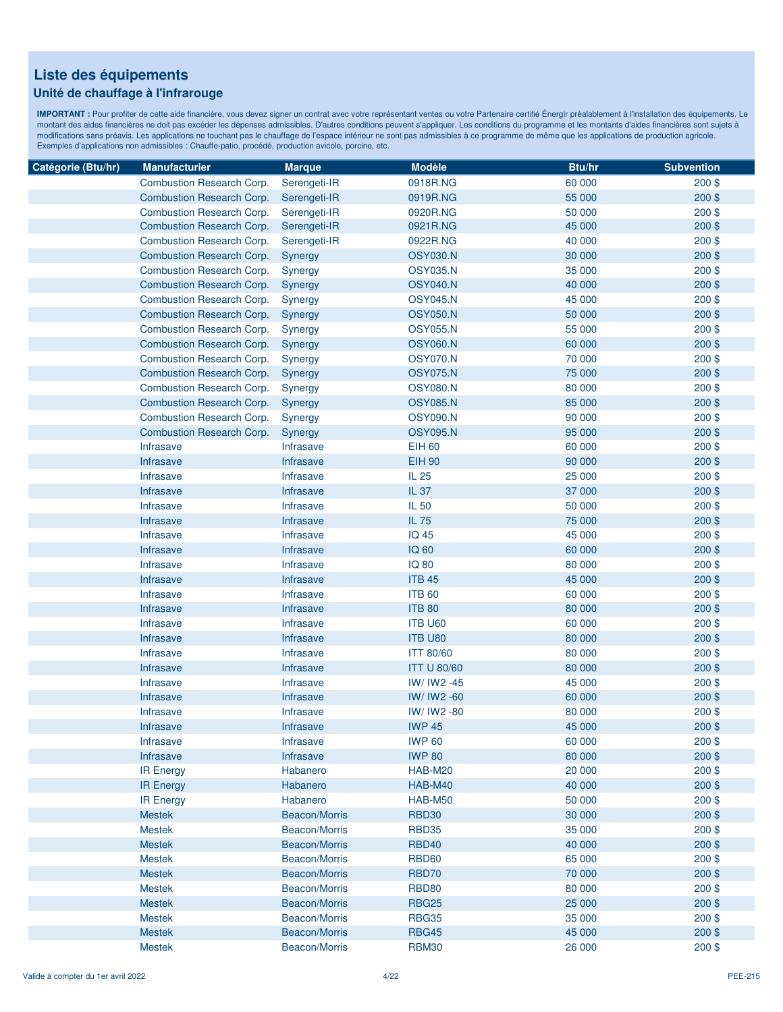### **Unité de chauffage à l'infrarouge**

| Catégorie (Btu/hr) | <b>Manufacturier</b>             | <b>Marque</b>    | <b>Modèle</b>      | Btu/hr | <b>Subvention</b> |
|--------------------|----------------------------------|------------------|--------------------|--------|-------------------|
|                    | Combustion Research Corp.        | Serengeti-IR     | 0918R.NG           | 60 000 | $200$ \$          |
|                    | <b>Combustion Research Corp.</b> | Serengeti-IR     | 0919R.NG           | 55 000 | $200$ \$          |
|                    | Combustion Research Corp.        | Serengeti-IR     | 0920R.NG           | 50 000 | $200$ \$          |
|                    | <b>Combustion Research Corp.</b> | Serengeti-IR     | 0921R.NG           | 45 000 | $200$ \$          |
|                    | Combustion Research Corp.        | Serengeti-IR     | 0922R.NG           | 40 000 | $200$ \$          |
|                    | <b>Combustion Research Corp.</b> | Synergy          | <b>OSY030.N</b>    | 30 000 | $200$ \$          |
|                    | Combustion Research Corp.        | Synergy          | <b>OSY035.N</b>    | 35 000 | $200$ \$          |
|                    | <b>Combustion Research Corp.</b> | Synergy          | <b>OSY040.N</b>    | 40 000 | 200\$             |
|                    | Combustion Research Corp.        | Synergy          | <b>OSY045.N</b>    | 45 000 | $200$ \$          |
|                    | <b>Combustion Research Corp.</b> | Synergy          | <b>OSY050.N</b>    | 50 000 | 200\$             |
|                    | <b>Combustion Research Corp.</b> | Synergy          | <b>OSY055.N</b>    | 55 000 | $200$ \$          |
|                    | <b>Combustion Research Corp.</b> | Synergy          | <b>OSY060.N</b>    | 60 000 | $200$ \$          |
|                    | <b>Combustion Research Corp.</b> | Synergy          | <b>OSY070.N</b>    | 70 000 | $200$ \$          |
|                    | <b>Combustion Research Corp.</b> | Synergy          | <b>OSY075.N</b>    | 75 000 | $200$ \$          |
|                    | Combustion Research Corp.        | Synergy          | <b>OSY080.N</b>    | 80 000 | $200$ \$          |
|                    | <b>Combustion Research Corp.</b> | Synergy          | <b>OSY085.N</b>    | 85 000 | $200$ \$          |
|                    | Combustion Research Corp.        | Synergy          | <b>OSY090.N</b>    | 90 000 | $200$ \$          |
|                    | <b>Combustion Research Corp.</b> | Synergy          | <b>OSY095.N</b>    | 95 000 | $200$ \$          |
|                    | <b>Infrasave</b>                 | Infrasave        | <b>EIH 60</b>      | 60 000 | $200$ \$          |
|                    | <b>Infrasave</b>                 | Infrasave        | <b>EIH 90</b>      | 90 000 | 200\$             |
|                    | Infrasave                        | Infrasave        | IL 25              | 25 000 | $200$ \$          |
|                    | Infrasave                        | <b>Infrasave</b> | IL 37              | 37 000 | $200$ \$          |
|                    | Infrasave                        | Infrasave        | IL 50              | 50 000 | $200$ \$          |
|                    | Infrasave                        | Infrasave        | IL 75              | 75 000 | $200$ \$          |
|                    | Infrasave                        | Infrasave        | <b>IQ 45</b>       | 45 000 | $200$ \$          |
|                    | Infrasave                        | Infrasave        | <b>IQ 60</b>       | 60 000 | $200$ \$          |
|                    | Infrasave                        | Infrasave        | <b>IQ 80</b>       | 80 000 | $200$ \$          |
|                    | Infrasave                        | <b>Infrasave</b> | <b>ITB 45</b>      | 45 000 | $200$ \$          |
|                    | Infrasave                        | Infrasave        | <b>ITB 60</b>      | 60 000 | $200$ \$          |
|                    | Infrasave                        | Infrasave        | <b>ITB 80</b>      | 80 000 | $200$ \$          |
|                    | <b>Infrasave</b>                 | <b>Infrasave</b> | <b>ITB U60</b>     | 60 000 | $200$ \$          |
|                    | <b>Infrasave</b>                 | Infrasave        | ITB U80            | 80 000 | $200$ \$          |
|                    | Infrasave                        | Infrasave        | <b>ITT 80/60</b>   | 80 000 | $200$ \$          |
|                    | Infrasave                        | Infrasave        | <b>ITT U 80/60</b> | 80 000 | $200$ \$          |
|                    | Infrasave                        | Infrasave        | IW/ IW2 -45        | 45 000 | 200\$             |
|                    | Infrasave                        | Infrasave        | IW/ IW2 -60        | 60 000 | $200$ \$          |
|                    | <b>Infrasave</b>                 | Infrasave        | IW/ IW2 -80        | 80 000 | $200$ \$          |
|                    | <b>Infrasave</b>                 | <b>Infrasave</b> | <b>IWP 45</b>      | 45 000 | 200\$             |
|                    | Infrasave                        | Infrasave        | <b>IWP 60</b>      | 60 000 | $200$ \$          |
|                    | Infrasave                        | Infrasave        | <b>IWP 80</b>      | 80 000 | $200$ \$          |
|                    | <b>IR Energy</b>                 | Habanero         | HAB-M20            | 20 000 | $200$ \$          |
|                    | <b>IR Energy</b>                 | Habanero         | <b>HAB-M40</b>     | 40 000 | $200$ \$          |
|                    | <b>IR Energy</b>                 | Habanero         | <b>HAB-M50</b>     | 50 000 | $200$ \$          |
|                    | <b>Mestek</b>                    | Beacon/Morris    | <b>RBD30</b>       | 30 000 | $200$ \$          |
|                    | <b>Mestek</b>                    | Beacon/Morris    | <b>RBD35</b>       | 35 000 | $200$ \$          |
|                    | <b>Mestek</b>                    | Beacon/Morris    | <b>RBD40</b>       | 40 000 | $200$ \$          |
|                    | <b>Mestek</b>                    | Beacon/Morris    | <b>RBD60</b>       | 65 000 | $200$ \$          |
|                    | <b>Mestek</b>                    | Beacon/Morris    | RBD70              | 70 000 | $200$ \$          |
|                    | <b>Mestek</b>                    | Beacon/Morris    | <b>RBD80</b>       | 80 000 | $200$ \$          |
|                    | <b>Mestek</b>                    | Beacon/Morris    | <b>RBG25</b>       | 25 000 | $200$ \$          |
|                    | <b>Mestek</b>                    | Beacon/Morris    | <b>RBG35</b>       | 35 000 | $200$ \$          |
|                    | <b>Mestek</b>                    | Beacon/Morris    | <b>RBG45</b>       | 45 000 | $200$ \$          |
|                    | <b>Mestek</b>                    | Beacon/Morris    | <b>RBM30</b>       | 26 000 | 200\$             |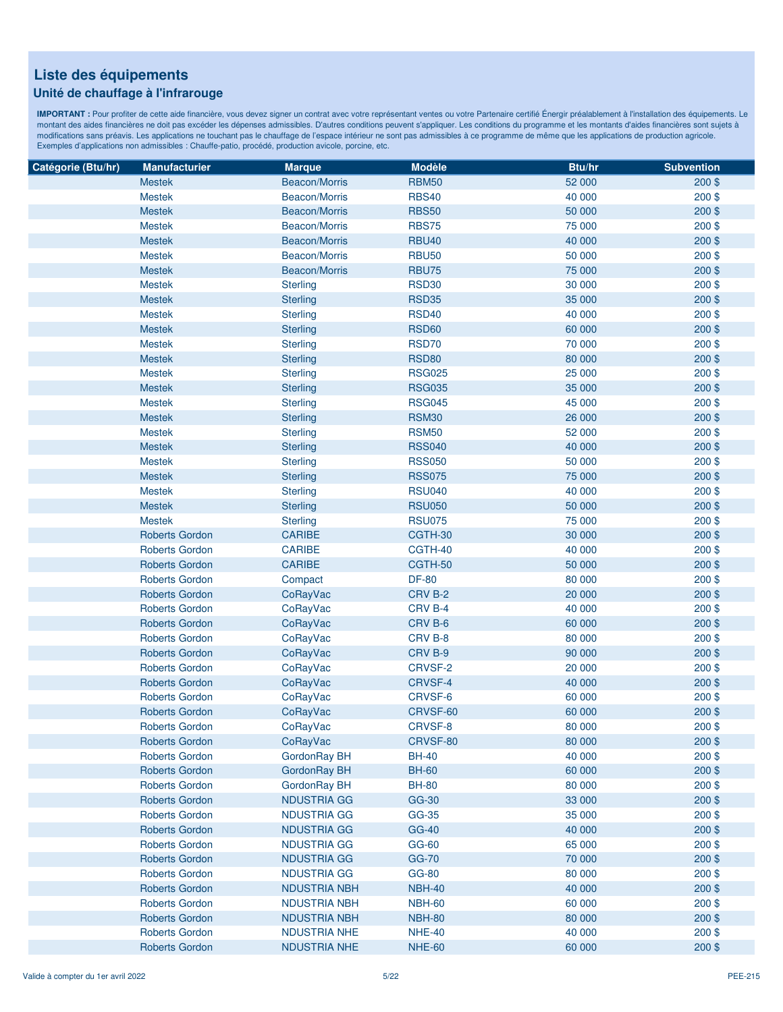### **Unité de chauffage à l'infrarouge**

| Catégorie (Btu/hr) | <b>Manufacturier</b>  | <b>Marque</b>        | <b>Modèle</b> | Btu/hr | <b>Subvention</b> |
|--------------------|-----------------------|----------------------|---------------|--------|-------------------|
|                    | <b>Mestek</b>         | Beacon/Morris        | <b>RBM50</b>  | 52 000 | $200$ \$          |
|                    | <b>Mestek</b>         | <b>Beacon/Morris</b> | <b>RBS40</b>  | 40 000 | $200$ \$          |
|                    | <b>Mestek</b>         | Beacon/Morris        | <b>RBS50</b>  | 50 000 | $200$ \$          |
|                    | <b>Mestek</b>         | Beacon/Morris        | <b>RBS75</b>  | 75 000 | 200\$             |
|                    | <b>Mestek</b>         | Beacon/Morris        | <b>RBU40</b>  | 40 000 | $200$ \$          |
|                    | <b>Mestek</b>         | Beacon/Morris        | <b>RBU50</b>  | 50 000 | $200$ \$          |
|                    | <b>Mestek</b>         | Beacon/Morris        | <b>RBU75</b>  | 75 000 | 200\$             |
|                    | <b>Mestek</b>         | <b>Sterling</b>      | <b>RSD30</b>  | 30 000 | 200\$             |
|                    | <b>Mestek</b>         | <b>Sterling</b>      | <b>RSD35</b>  | 35 000 | 200\$             |
|                    | <b>Mestek</b>         | <b>Sterling</b>      | <b>RSD40</b>  | 40 000 | $200$ \$          |
|                    | <b>Mestek</b>         | <b>Sterling</b>      | <b>RSD60</b>  | 60 000 | $200$ \$          |
|                    | <b>Mestek</b>         | <b>Sterling</b>      | <b>RSD70</b>  | 70 000 | $200$ \$          |
|                    | <b>Mestek</b>         | <b>Sterling</b>      | <b>RSD80</b>  | 80 000 | $200$ \$          |
|                    | <b>Mestek</b>         | <b>Sterling</b>      | <b>RSG025</b> | 25 000 | $200$ \$          |
|                    | <b>Mestek</b>         | <b>Sterling</b>      | <b>RSG035</b> | 35 000 | $200$ \$          |
|                    | <b>Mestek</b>         | <b>Sterling</b>      | <b>RSG045</b> | 45 000 | $200$ \$          |
|                    | <b>Mestek</b>         |                      | <b>RSM30</b>  | 26 000 | 200\$             |
|                    | <b>Mestek</b>         | <b>Sterling</b>      |               |        |                   |
|                    |                       | <b>Sterling</b>      | <b>RSM50</b>  | 52 000 | $200$ \$          |
|                    | <b>Mestek</b>         | <b>Sterling</b>      | <b>RSS040</b> | 40 000 | 200\$             |
|                    | <b>Mestek</b>         | <b>Sterling</b>      | <b>RSS050</b> | 50 000 | $200$ \$          |
|                    | <b>Mestek</b>         | <b>Sterling</b>      | <b>RSS075</b> | 75 000 | 200\$             |
|                    | <b>Mestek</b>         | <b>Sterling</b>      | <b>RSU040</b> | 40 000 | $200$ \$          |
|                    | <b>Mestek</b>         | <b>Sterling</b>      | <b>RSU050</b> | 50 000 | $200$ \$          |
|                    | <b>Mestek</b>         | <b>Sterling</b>      | <b>RSU075</b> | 75 000 | $200$ \$          |
|                    | <b>Roberts Gordon</b> | <b>CARIBE</b>        | CGTH-30       | 30 000 | $200$ \$          |
|                    | <b>Roberts Gordon</b> | <b>CARIBE</b>        | CGTH-40       | 40 000 | $200$ \$          |
|                    | <b>Roberts Gordon</b> | <b>CARIBE</b>        | CGTH-50       | 50 000 | $200$ \$          |
|                    | <b>Roberts Gordon</b> | Compact              | <b>DF-80</b>  | 80 000 | $200$ \$          |
|                    | <b>Roberts Gordon</b> | CoRayVac             | CRV B-2       | 20 000 | 200\$             |
|                    | <b>Roberts Gordon</b> | CoRayVac             | CRV B-4       | 40 000 | $200$ \$          |
|                    | <b>Roberts Gordon</b> | CoRayVac             | CRV B-6       | 60 000 | 200\$             |
|                    | <b>Roberts Gordon</b> | <b>CoRayVac</b>      | CRV B-8       | 80 000 | 200\$             |
|                    | <b>Roberts Gordon</b> | CoRayVac             | CRV B-9       | 90 000 | 200\$             |
|                    | <b>Roberts Gordon</b> | CoRayVac             | CRVSF-2       | 20 000 | 200\$             |
|                    | <b>Roberts Gordon</b> | CoRayVac             | CRVSF-4       | 40 000 | $200$ \$          |
|                    | <b>Roberts Gordon</b> | CoRayVac             | CRVSF-6       | 60 000 | $200$ \$          |
|                    | <b>Roberts Gordon</b> | CoRayVac             | CRVSF-60      | 60 000 | 200\$             |
|                    | <b>Roberts Gordon</b> | CoRayVac             | CRVSF-8       | 80 000 | 200\$             |
|                    | <b>Roberts Gordon</b> | CoRayVac             | CRVSF-80      | 80 000 | $200$ \$          |
|                    | <b>Roberts Gordon</b> | GordonRay BH         | <b>BH-40</b>  | 40 000 | $200$ \$          |
|                    | <b>Roberts Gordon</b> | GordonRay BH         | <b>BH-60</b>  | 60 000 | 200\$             |
|                    | <b>Roberts Gordon</b> | GordonRay BH         | <b>BH-80</b>  | 80 000 | $200$ \$          |
|                    | <b>Roberts Gordon</b> | <b>NDUSTRIA GG</b>   | GG-30         | 33 000 | $200$ \$          |
|                    | <b>Roberts Gordon</b> | NDUSTRIA GG          | GG-35         | 35 000 | $200$ \$          |
|                    | <b>Roberts Gordon</b> | <b>NDUSTRIA GG</b>   | <b>GG-40</b>  | 40 000 | $200$ \$          |
|                    | <b>Roberts Gordon</b> | <b>NDUSTRIA GG</b>   | GG-60         | 65 000 | $200$ \$          |
|                    | <b>Roberts Gordon</b> | <b>NDUSTRIA GG</b>   | <b>GG-70</b>  | 70 000 | $200$ \$          |
|                    | <b>Roberts Gordon</b> | NDUSTRIA GG          | <b>GG-80</b>  | 80 000 | $200$ \$          |
|                    | <b>Roberts Gordon</b> | <b>NDUSTRIA NBH</b>  | <b>NBH-40</b> | 40 000 | $200$ \$          |
|                    | <b>Roberts Gordon</b> | <b>NDUSTRIA NBH</b>  | <b>NBH-60</b> | 60 000 | $200$ \$          |
|                    | <b>Roberts Gordon</b> | <b>NDUSTRIA NBH</b>  | <b>NBH-80</b> | 80 000 | $200$ \$          |
|                    | <b>Roberts Gordon</b> | <b>NDUSTRIA NHE</b>  | <b>NHE-40</b> | 40 000 | $200$ \$          |
|                    | <b>Roberts Gordon</b> | <b>NDUSTRIA NHE</b>  | <b>NHE-60</b> | 60 000 | 200\$             |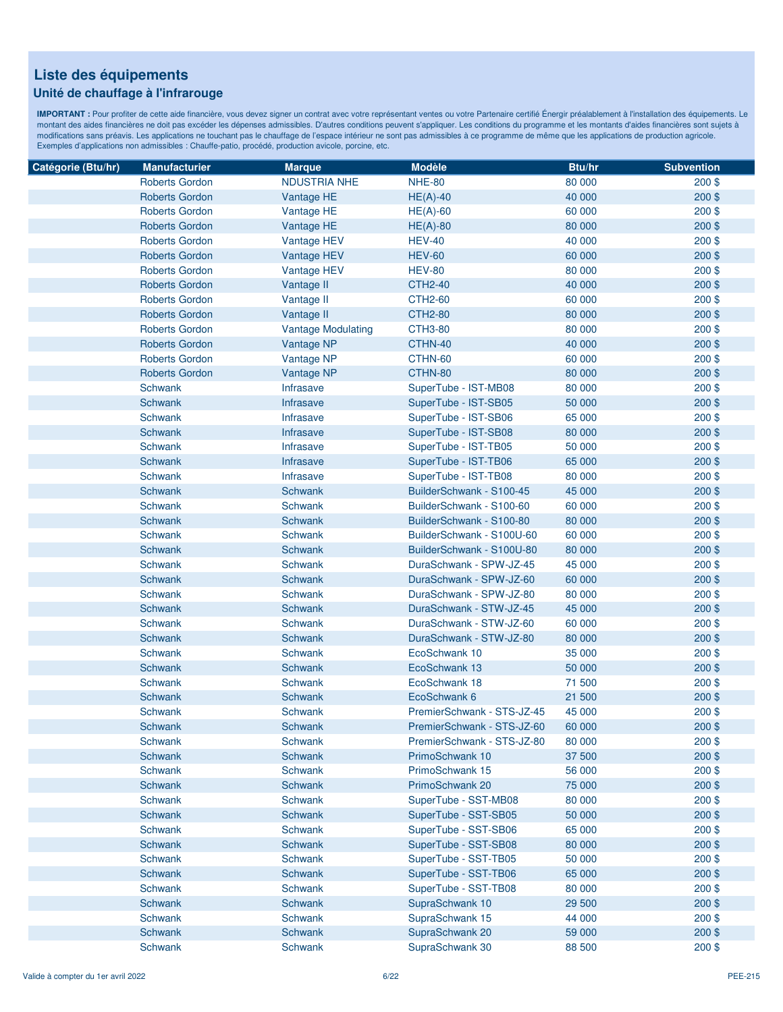### **Unité de chauffage à l'infrarouge**

| Catégorie (Btu/hr) | <b>Manufacturier</b>  | <b>Marque</b>             | <b>Modèle</b>              | Btu/hr | <b>Subvention</b> |
|--------------------|-----------------------|---------------------------|----------------------------|--------|-------------------|
|                    | <b>Roberts Gordon</b> | <b>NDUSTRIA NHE</b>       | <b>NHE-80</b>              | 80 000 | $200$ \$          |
|                    | <b>Roberts Gordon</b> | Vantage HE                | $HE(A)-40$                 | 40 000 | $200$ \$          |
|                    | <b>Roberts Gordon</b> | Vantage HE                | $HE(A)-60$                 | 60 000 | $200$ \$          |
|                    | <b>Roberts Gordon</b> | Vantage HE                | $HE(A)-80$                 | 80 000 | $200$ \$          |
|                    | <b>Roberts Gordon</b> | Vantage HEV               | <b>HEV-40</b>              | 40 000 | $200$ \$          |
|                    | <b>Roberts Gordon</b> | Vantage HEV               | <b>HEV-60</b>              | 60 000 | 200\$             |
|                    | <b>Roberts Gordon</b> | Vantage HEV               | <b>HEV-80</b>              | 80 000 | $200$ \$          |
|                    | <b>Roberts Gordon</b> | Vantage II                | <b>CTH2-40</b>             | 40 000 | 200\$             |
|                    | <b>Roberts Gordon</b> | Vantage II                | <b>CTH2-60</b>             | 60 000 | $200$ \$          |
|                    | <b>Roberts Gordon</b> | Vantage II                | <b>CTH2-80</b>             | 80 000 | $200$ \$          |
|                    | <b>Roberts Gordon</b> | <b>Vantage Modulating</b> | <b>CTH3-80</b>             | 80 000 | $200$ \$          |
|                    | <b>Roberts Gordon</b> | Vantage NP                | CTHN-40                    | 40 000 | $200$ \$          |
|                    | <b>Roberts Gordon</b> | Vantage NP                | CTHN-60                    | 60 000 | $200$ \$          |
|                    | <b>Roberts Gordon</b> | Vantage NP                | CTHN-80                    | 80 000 | $200$ \$          |
|                    | <b>Schwank</b>        | Infrasave                 | SuperTube - IST-MB08       | 80 000 | 200\$             |
|                    | Schwank               | Infrasave                 | SuperTube - IST-SB05       | 50 000 | $200$ \$          |
|                    | Schwank               | Infrasave                 | SuperTube - IST-SB06       | 65 000 | $200$ \$          |
|                    | <b>Schwank</b>        | Infrasave                 | SuperTube - IST-SB08       | 80 000 | 200\$             |
|                    | Schwank               | <b>Infrasave</b>          | SuperTube - IST-TB05       | 50 000 | $200$ \$          |
|                    | <b>Schwank</b>        | Infrasave                 | SuperTube - IST-TB06       | 65 000 | $200$ \$          |
|                    | Schwank               | Infrasave                 | SuperTube - IST-TB08       | 80 000 | $200$ \$          |
|                    | Schwank               | Schwank                   | BuilderSchwank - S100-45   | 45 000 | $200$ \$          |
|                    | Schwank               | Schwank                   | BuilderSchwank - S100-60   | 60 000 | $200$ \$          |
|                    | Schwank               | Schwank                   | BuilderSchwank - S100-80   | 80 000 | $200$ \$          |
|                    | <b>Schwank</b>        | Schwank                   | BuilderSchwank - S100U-60  | 60 000 | $200$ \$          |
|                    | <b>Schwank</b>        | <b>Schwank</b>            | BuilderSchwank - S100U-80  | 80 000 | $200$ \$          |
|                    | <b>Schwank</b>        | Schwank                   | DuraSchwank - SPW-JZ-45    | 45 000 | $200$ \$          |
|                    | Schwank               | Schwank                   | DuraSchwank - SPW-JZ-60    | 60 000 | $200$ \$          |
|                    | Schwank               | Schwank                   | DuraSchwank - SPW-JZ-80    | 80 000 | $200$ \$          |
|                    | <b>Schwank</b>        | Schwank                   | DuraSchwank - STW-JZ-45    | 45 000 | $200$ \$          |
|                    | Schwank               | Schwank                   | DuraSchwank - STW-JZ-60    | 60 000 | $200$ \$          |
|                    | <b>Schwank</b>        | <b>Schwank</b>            | DuraSchwank - STW-JZ-80    | 80 000 | 200\$             |
|                    | Schwank               | <b>Schwank</b>            | EcoSchwank 10              | 35 000 | $200$ \$          |
|                    | Schwank               | Schwank                   | EcoSchwank 13              | 50 000 | $200$ \$          |
|                    | <b>Schwank</b>        | <b>Schwank</b>            | EcoSchwank 18              | 71 500 | $200$ \$          |
|                    | Schwank               | <b>Schwank</b>            | EcoSchwank 6               | 21 500 | $200$ \$          |
|                    | <b>Schwank</b>        | Schwank                   | PremierSchwank - STS-JZ-45 | 45 000 | $200$ \$          |
|                    | <b>Schwank</b>        | <b>Schwank</b>            | PremierSchwank - STS-JZ-60 | 60 000 | $200$ \$          |
|                    | <b>Schwank</b>        | Schwank                   | PremierSchwank - STS-JZ-80 | 80 000 | $200$ \$          |
|                    | Schwank               | Schwank                   | PrimoSchwank 10            | 37 500 | $200$ \$          |
|                    | Schwank               | Schwank                   | PrimoSchwank 15            | 56 000 | $200$ \$          |
|                    | Schwank               | Schwank                   | PrimoSchwank 20            | 75 000 | $200$ \$          |
|                    | Schwank               | Schwank                   | SuperTube - SST-MB08       | 80 000 | $200$ \$          |
|                    | Schwank               | Schwank                   | SuperTube - SST-SB05       | 50 000 | $200$ \$          |
|                    | Schwank               | Schwank                   | SuperTube - SST-SB06       | 65 000 | $200$ \$          |
|                    | <b>Schwank</b>        | Schwank                   | SuperTube - SST-SB08       | 80 000 | $200$ \$          |
|                    | Schwank               | Schwank                   | SuperTube - SST-TB05       | 50 000 | $200$ \$          |
|                    | Schwank               | Schwank                   | SuperTube - SST-TB06       | 65 000 | $200$ \$          |
|                    | Schwank               | Schwank                   | SuperTube - SST-TB08       | 80 000 | $200$ \$          |
|                    | Schwank               | Schwank                   | SupraSchwank 10            | 29 500 | $200$ \$          |
|                    | Schwank               | Schwank                   | SupraSchwank 15            | 44 000 | $200$ \$          |
|                    | Schwank               | Schwank                   | SupraSchwank 20            | 59 000 | 200\$             |
|                    | Schwank               | Schwank                   | SupraSchwank 30            | 88 500 | 200\$             |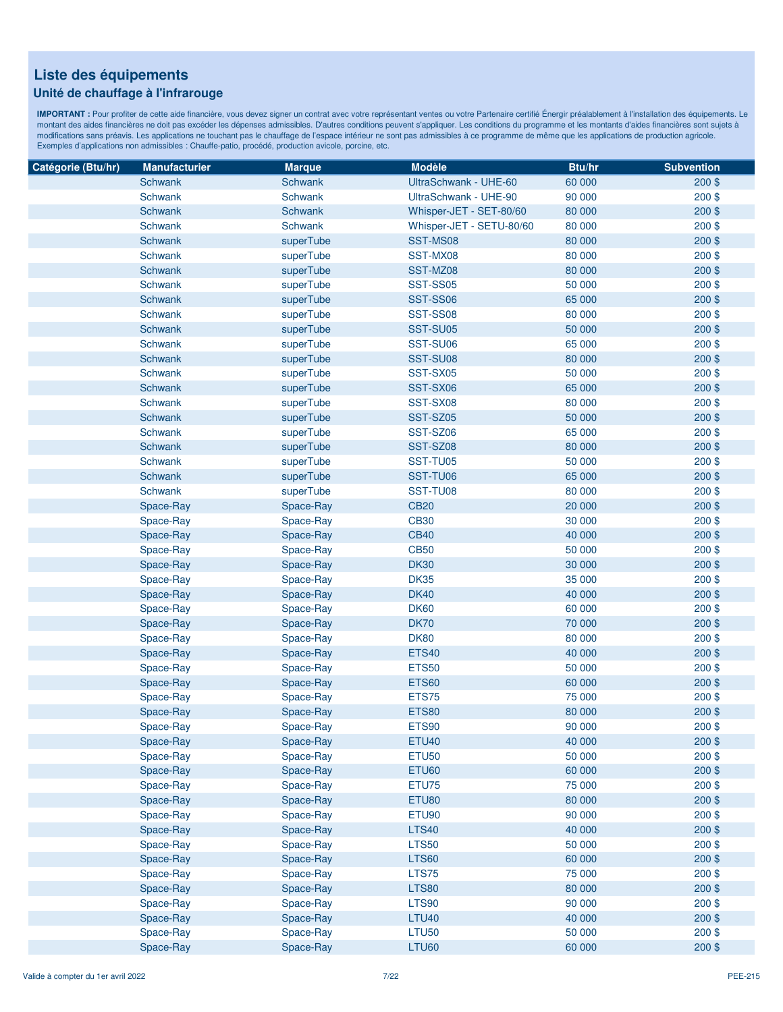### **Unité de chauffage à l'infrarouge**

| Catégorie (Btu/hr) | <b>Manufacturier</b> | <b>Marque</b>  | <b>Modèle</b>            | Btu/hr | <b>Subvention</b> |
|--------------------|----------------------|----------------|--------------------------|--------|-------------------|
|                    | Schwank              | Schwank        | UltraSchwank - UHE-60    | 60 000 | $200$ \$          |
|                    | Schwank              | Schwank        | UltraSchwank - UHE-90    | 90 000 | $200$ \$          |
|                    | Schwank              | Schwank        | Whisper-JET - SET-80/60  | 80 000 | $200$ \$          |
|                    | Schwank              | <b>Schwank</b> | Whisper-JET - SETU-80/60 | 80 000 | 200\$             |
|                    | Schwank              | superTube      | SST-MS08                 | 80 000 | $200$ \$          |
|                    | Schwank              | superTube      | SST-MX08                 | 80 000 | 200\$             |
|                    | Schwank              | superTube      | SST-MZ08                 | 80 000 | 200\$             |
|                    | Schwank              | superTube      | <b>SST-SS05</b>          | 50 000 | 200\$             |
|                    | Schwank              | superTube      | <b>SST-SS06</b>          | 65 000 | $200$ \$          |
|                    | Schwank              | superTube      | <b>SST-SS08</b>          | 80 000 | 200\$             |
|                    | Schwank              | superTube      | SST-SU05                 | 50 000 | 200\$             |
|                    | Schwank              | superTube      | SST-SU06                 | 65 000 | $200$ \$          |
|                    | Schwank              | superTube      | SST-SU08                 | 80 000 | 200\$             |
|                    | Schwank              | superTube      | SST-SX05                 | 50 000 | $200$ \$          |
|                    | Schwank              | superTube      | SST-SX06                 | 65 000 | $200$ \$          |
|                    | Schwank              | superTube      | SST-SX08                 | 80 000 | 200\$             |
|                    | Schwank              | superTube      | SST-SZ05                 | 50 000 | $200$ \$          |
|                    | Schwank              | superTube      | SST-SZ06                 | 65 000 | 200\$             |
|                    | Schwank              | superTube      | SST-SZ08                 | 80 000 | 200\$             |
|                    | Schwank              | superTube      |                          | 50 000 | $200$ \$          |
|                    | Schwank              |                | SST-TU05<br>SST-TU06     |        |                   |
|                    |                      | superTube      |                          | 65 000 | 200\$             |
|                    | Schwank              | superTube      | SST-TU08                 | 80 000 | 200\$             |
|                    | Space-Ray            | Space-Ray      | <b>CB20</b>              | 20 000 | 200\$             |
|                    | Space-Ray            | Space-Ray      | <b>CB30</b>              | 30 000 | 200\$             |
|                    | Space-Ray            | Space-Ray      | <b>CB40</b>              | 40 000 | 200\$             |
|                    | Space-Ray            | Space-Ray      | <b>CB50</b>              | 50 000 | $200$ \$          |
|                    | Space-Ray            | Space-Ray      | <b>DK30</b>              | 30 000 | 200\$             |
|                    | Space-Ray            | Space-Ray      | <b>DK35</b>              | 35 000 | $200$ \$          |
|                    | Space-Ray            | Space-Ray      | <b>DK40</b>              | 40 000 | 200\$             |
|                    | Space-Ray            | Space-Ray      | <b>DK60</b>              | 60 000 | 200\$             |
|                    | Space-Ray            | Space-Ray      | <b>DK70</b>              | 70 000 | 200\$             |
|                    | Space-Ray            | Space-Ray      | <b>DK80</b>              | 80 000 | 200\$             |
|                    | Space-Ray            | Space-Ray      | <b>ETS40</b>             | 40 000 | $200$ \$          |
|                    | Space-Ray            | Space-Ray      | <b>ETS50</b>             | 50 000 | 200\$             |
|                    | Space-Ray            | Space-Ray      | <b>ETS60</b>             | 60 000 | 200\$             |
|                    | Space-Ray            | Space-Ray      | ETS75                    | 75 000 | 200\$             |
|                    | Space-Ray            | Space-Ray      | <b>ETS80</b>             | 80 000 | $200$ \$          |
|                    | Space-Ray            | Space-Ray      | <b>ETS90</b>             | 90 000 | 200\$             |
|                    | Space-Ray            | Space-Ray      | <b>ETU40</b>             | 40 000 | $200$ \$          |
|                    | Space-Ray            | Space-Ray      | <b>ETU50</b>             | 50 000 | $200$ \$          |
|                    | Space-Ray            | Space-Ray      | <b>ETU60</b>             | 60 000 | $200$ \$          |
|                    | Space-Ray            | Space-Ray      | ETU75                    | 75 000 | $200$ \$          |
|                    | Space-Ray            | Space-Ray      | <b>ETU80</b>             | 80 000 | $200$ \$          |
|                    | Space-Ray            | Space-Ray      | ETU90                    | 90 000 | $200$ \$          |
|                    | Space-Ray            | Space-Ray      | <b>LTS40</b>             | 40 000 | $200$ \$          |
|                    | Space-Ray            | Space-Ray      | <b>LTS50</b>             | 50 000 | $200$ \$          |
|                    | Space-Ray            | Space-Ray      | <b>LTS60</b>             | 60 000 | 200\$             |
|                    | Space-Ray            | Space-Ray      | <b>LTS75</b>             | 75 000 | $200$ \$          |
|                    | Space-Ray            | Space-Ray      | <b>LTS80</b>             | 80 000 | 200\$             |
|                    | Space-Ray            | Space-Ray      | <b>LTS90</b>             | 90 000 | 200\$             |
|                    | Space-Ray            | Space-Ray      | LTU <sub>40</sub>        | 40 000 | 200\$             |
|                    | Space-Ray            | Space-Ray      | <b>LTU50</b>             | 50 000 | 200\$             |
|                    | Space-Ray            | Space-Ray      | <b>LTU60</b>             | 60 000 | 200\$             |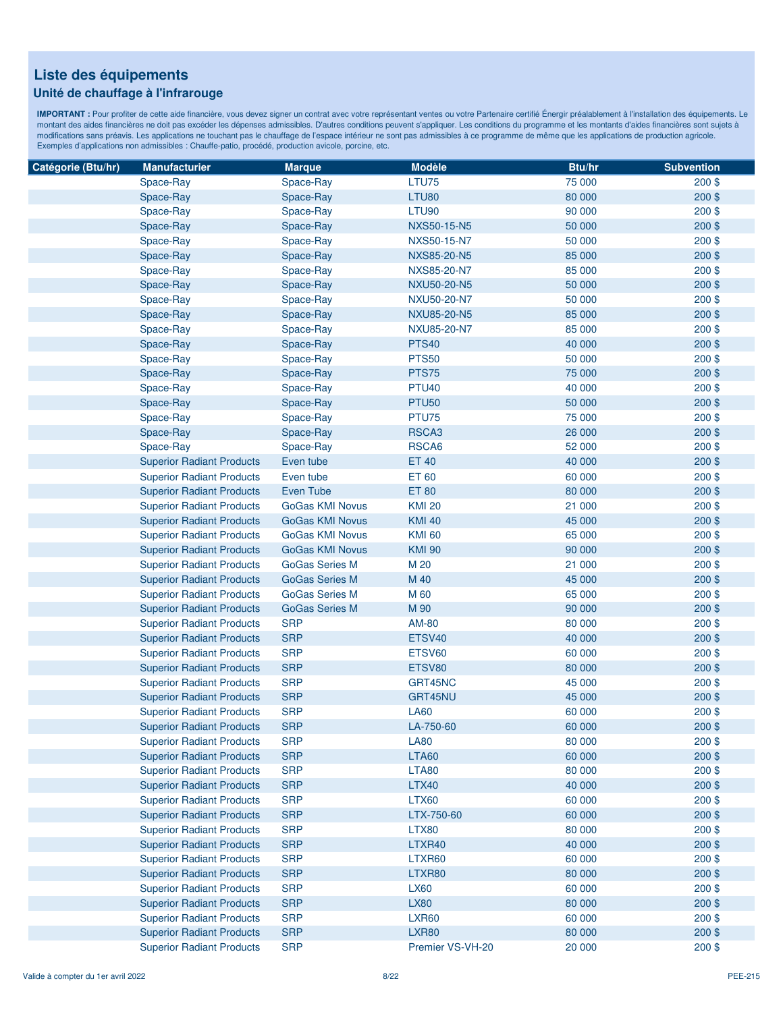### **Unité de chauffage à l'infrarouge**

| Catégorie (Btu/hr) | <b>Manufacturier</b>             | <b>Marque</b>          | <b>Modèle</b>      | Btu/hr | <b>Subvention</b> |
|--------------------|----------------------------------|------------------------|--------------------|--------|-------------------|
|                    | Space-Ray                        | Space-Ray              | LTU75              | 75 000 | $200$ \$          |
|                    | Space-Ray                        | Space-Ray              | LTU80              | 80 000 | 200\$             |
|                    | Space-Ray                        | Space-Ray              | LTU90              | 90 000 | $200$ \$          |
|                    | Space-Ray                        | Space-Ray              | <b>NXS50-15-N5</b> | 50 000 | $200$ \$          |
|                    | Space-Ray                        | Space-Ray              | NXS50-15-N7        | 50 000 | $200$ \$          |
|                    | Space-Ray                        | Space-Ray              | NXS85-20-N5        | 85 000 | $200$ \$          |
|                    | Space-Ray                        | Space-Ray              | NXS85-20-N7        | 85 000 | $200$ \$          |
|                    | Space-Ray                        | Space-Ray              | NXU50-20-N5        | 50 000 | 200\$             |
|                    | Space-Ray                        | Space-Ray              | <b>NXU50-20-N7</b> | 50 000 | 200\$             |
|                    | Space-Ray                        | Space-Ray              | <b>NXU85-20-N5</b> | 85 000 | 200\$             |
|                    | Space-Ray                        | Space-Ray              | <b>NXU85-20-N7</b> | 85 000 | $200$ \$          |
|                    | Space-Ray                        | Space-Ray              | <b>PTS40</b>       | 40 000 | $200$ \$          |
|                    | Space-Ray                        | Space-Ray              | <b>PTS50</b>       | 50 000 | $200$ \$          |
|                    | Space-Ray                        | Space-Ray              | PTS75              | 75 000 | $200$ \$          |
|                    | Space-Ray                        | Space-Ray              | <b>PTU40</b>       | 40 000 | $200$ \$          |
|                    | Space-Ray                        | Space-Ray              | <b>PTU50</b>       | 50 000 | $200$ \$          |
|                    | Space-Ray                        | Space-Ray              | PTU75              | 75 000 | 200\$             |
|                    | Space-Ray                        | Space-Ray              | RSCA3              | 26 000 | 200\$             |
|                    | Space-Ray                        | Space-Ray              | RSCA6              | 52 000 | $200$ \$          |
|                    | <b>Superior Radiant Products</b> | Even tube              | <b>ET 40</b>       | 40 000 | 200\$             |
|                    | <b>Superior Radiant Products</b> | Even tube              | ET 60              | 60 000 | 200\$             |
|                    | <b>Superior Radiant Products</b> | Even Tube              | <b>ET 80</b>       | 80 000 | 200\$             |
|                    | <b>Superior Radiant Products</b> | <b>GoGas KMI Novus</b> | <b>KMI 20</b>      | 21 000 | $200$ \$          |
|                    | <b>Superior Radiant Products</b> | <b>GoGas KMI Novus</b> | <b>KMI 40</b>      | 45 000 | $200$ \$          |
|                    | <b>Superior Radiant Products</b> | <b>GoGas KMI Novus</b> | <b>KMI 60</b>      | 65 000 | $200$ \$          |
|                    | <b>Superior Radiant Products</b> | <b>GoGas KMI Novus</b> | <b>KMI 90</b>      | 90 000 | $200$ \$          |
|                    | <b>Superior Radiant Products</b> | <b>GoGas Series M</b>  | M 20               | 21 000 | 200\$             |
|                    | <b>Superior Radiant Products</b> | <b>GoGas Series M</b>  | M 40               | 45 000 | $200$ \$          |
|                    | <b>Superior Radiant Products</b> | <b>GoGas Series M</b>  | M 60               | 65 000 | 200\$             |
|                    | <b>Superior Radiant Products</b> | <b>GoGas Series M</b>  | M 90               | 90 000 | 200\$             |
|                    | <b>Superior Radiant Products</b> | <b>SRP</b>             | AM-80              | 80 000 | $200$ \$          |
|                    | <b>Superior Radiant Products</b> | <b>SRP</b>             | ETSV40             | 40 000 | 200\$             |
|                    | <b>Superior Radiant Products</b> | <b>SRP</b>             | ETSV60             | 60 000 | $200$ \$          |
|                    | <b>Superior Radiant Products</b> | <b>SRP</b>             | ETSV80             | 80 000 | 200\$             |
|                    | <b>Superior Radiant Products</b> | <b>SRP</b>             | GRT45NC            | 45 000 | 200\$             |
|                    | <b>Superior Radiant Products</b> | <b>SRP</b>             | GRT45NU            | 45 000 | 200\$             |
|                    | <b>Superior Radiant Products</b> | <b>SRP</b>             | <b>LA60</b>        | 60 000 | 200\$             |
|                    | <b>Superior Radiant Products</b> | <b>SRP</b>             | LA-750-60          | 60 000 | 200\$             |
|                    | <b>Superior Radiant Products</b> | <b>SRP</b>             | <b>LA80</b>        | 80 000 | $200$ \$          |
|                    | <b>Superior Radiant Products</b> | <b>SRP</b>             | <b>LTA60</b>       | 60 000 | $200$ \$          |
|                    | <b>Superior Radiant Products</b> | <b>SRP</b>             | <b>LTA80</b>       | 80 000 | $200$ \$          |
|                    | <b>Superior Radiant Products</b> | <b>SRP</b>             | <b>LTX40</b>       | 40 000 | $200$ \$          |
|                    | <b>Superior Radiant Products</b> | <b>SRP</b>             | <b>LTX60</b>       | 60 000 | $200$ \$          |
|                    | <b>Superior Radiant Products</b> | <b>SRP</b>             | LTX-750-60         | 60 000 | $200$ \$          |
|                    | <b>Superior Radiant Products</b> | <b>SRP</b>             | <b>LTX80</b>       | 80 000 | $200$ \$          |
|                    | <b>Superior Radiant Products</b> | <b>SRP</b>             | LTXR40             | 40 000 | 200\$             |
|                    | <b>Superior Radiant Products</b> | <b>SRP</b>             | LTXR60             | 60 000 | $200$ \$          |
|                    | <b>Superior Radiant Products</b> | <b>SRP</b>             | LTXR80             | 80 000 | 200\$             |
|                    | <b>Superior Radiant Products</b> | <b>SRP</b>             | <b>LX60</b>        | 60 000 | $200$ \$          |
|                    | <b>Superior Radiant Products</b> | <b>SRP</b>             | <b>LX80</b>        | 80 000 | $200$ \$          |
|                    | <b>Superior Radiant Products</b> | <b>SRP</b>             | <b>LXR60</b>       | 60 000 | $200$ \$          |
|                    | <b>Superior Radiant Products</b> | <b>SRP</b>             | <b>LXR80</b>       | 80 000 | 200\$             |
|                    | <b>Superior Radiant Products</b> | <b>SRP</b>             | Premier VS-VH-20   | 20 000 | 200\$             |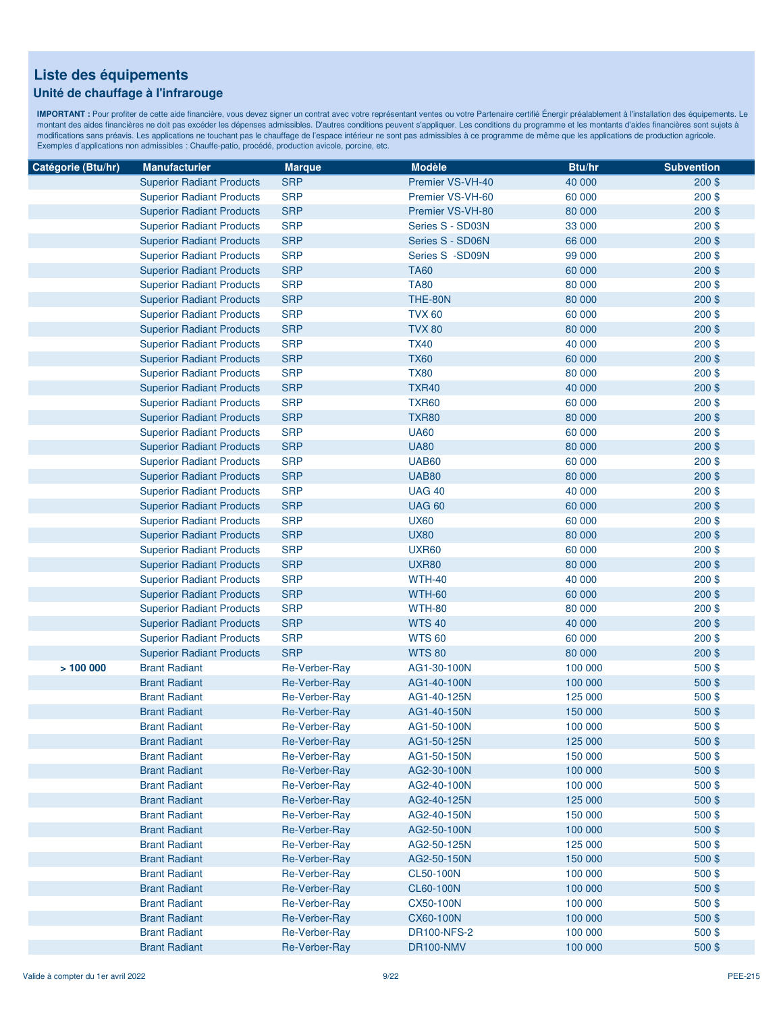### **Unité de chauffage à l'infrarouge**

| Catégorie (Btu/hr) | <b>Manufacturier</b>             | <b>Marque</b> | <b>Modèle</b>    | Btu/hr  | <b>Subvention</b> |
|--------------------|----------------------------------|---------------|------------------|---------|-------------------|
|                    | <b>Superior Radiant Products</b> | <b>SRP</b>    | Premier VS-VH-40 | 40 000  | $200$ \$          |
|                    | <b>Superior Radiant Products</b> | <b>SRP</b>    | Premier VS-VH-60 | 60 000  | 200\$             |
|                    | <b>Superior Radiant Products</b> | <b>SRP</b>    | Premier VS-VH-80 | 80 000  | $200$ \$          |
|                    | <b>Superior Radiant Products</b> | <b>SRP</b>    | Series S - SD03N | 33 000  | 200\$             |
|                    | <b>Superior Radiant Products</b> | <b>SRP</b>    | Series S - SD06N | 66 000  | $200$ \$          |
|                    | <b>Superior Radiant Products</b> | <b>SRP</b>    | Series S -SD09N  | 99 000  | $200$ \$          |
|                    | <b>Superior Radiant Products</b> | <b>SRP</b>    | <b>TA60</b>      | 60 000  | 200\$             |
|                    | <b>Superior Radiant Products</b> | <b>SRP</b>    | <b>TA80</b>      | 80 000  | 200\$             |
|                    | <b>Superior Radiant Products</b> | <b>SRP</b>    | THE-80N          | 80 000  | 200\$             |
|                    | <b>Superior Radiant Products</b> | <b>SRP</b>    | <b>TVX 60</b>    | 60 000  | $200$ \$          |
|                    | <b>Superior Radiant Products</b> | <b>SRP</b>    | <b>TVX 80</b>    | 80 000  | 200\$             |
|                    | <b>Superior Radiant Products</b> | <b>SRP</b>    | <b>TX40</b>      | 40 000  | $200$ \$          |
|                    | <b>Superior Radiant Products</b> | <b>SRP</b>    | <b>TX60</b>      | 60 000  | 200\$             |
|                    | <b>Superior Radiant Products</b> | <b>SRP</b>    | <b>TX80</b>      | 80 000  | 200\$             |
|                    | <b>Superior Radiant Products</b> | <b>SRP</b>    | <b>TXR40</b>     | 40 000  | 200\$             |
|                    | <b>Superior Radiant Products</b> | <b>SRP</b>    | <b>TXR60</b>     | 60 000  | $200$ \$          |
|                    | <b>Superior Radiant Products</b> | <b>SRP</b>    | <b>TXR80</b>     | 80 000  | 200\$             |
|                    | <b>Superior Radiant Products</b> | <b>SRP</b>    | <b>UA60</b>      | 60 000  | 200\$             |
|                    | <b>Superior Radiant Products</b> | <b>SRP</b>    | <b>UA80</b>      | 80 000  | 200\$             |
|                    | <b>Superior Radiant Products</b> | <b>SRP</b>    | <b>UAB60</b>     | 60 000  | $200$ \$          |
|                    | <b>Superior Radiant Products</b> | <b>SRP</b>    | <b>UAB80</b>     | 80 000  | 200\$             |
|                    | <b>Superior Radiant Products</b> | <b>SRP</b>    | <b>UAG 40</b>    | 40 000  | $200$ \$          |
|                    | <b>Superior Radiant Products</b> | <b>SRP</b>    | <b>UAG 60</b>    | 60 000  | 200\$             |
|                    | <b>Superior Radiant Products</b> | <b>SRP</b>    | <b>UX60</b>      | 60 000  | $200$ \$          |
|                    | <b>Superior Radiant Products</b> | <b>SRP</b>    | <b>UX80</b>      | 80 000  | 200\$             |
|                    | <b>Superior Radiant Products</b> | <b>SRP</b>    | <b>UXR60</b>     | 60 000  | 200\$             |
|                    | <b>Superior Radiant Products</b> | <b>SRP</b>    | <b>UXR80</b>     | 80 000  | 200\$             |
|                    | <b>Superior Radiant Products</b> | <b>SRP</b>    | <b>WTH-40</b>    | 40 000  | 200\$             |
|                    | <b>Superior Radiant Products</b> | <b>SRP</b>    | <b>WTH-60</b>    | 60 000  | 200\$             |
|                    | <b>Superior Radiant Products</b> | <b>SRP</b>    | <b>WTH-80</b>    | 80 000  | 200\$             |
|                    | <b>Superior Radiant Products</b> | <b>SRP</b>    | <b>WTS40</b>     | 40 000  | 200\$             |
|                    | <b>Superior Radiant Products</b> | <b>SRP</b>    | <b>WTS 60</b>    | 60 000  | 200\$             |
|                    | <b>Superior Radiant Products</b> | <b>SRP</b>    | <b>WTS 80</b>    | 80 000  | 200\$             |
| >100000            | <b>Brant Radiant</b>             | Re-Verber-Ray | AG1-30-100N      | 100 000 | 500\$             |
|                    | <b>Brant Radiant</b>             | Re-Verber-Ray | AG1-40-100N      | 100 000 | 500\$             |
|                    | <b>Brant Radiant</b>             | Re-Verber-Ray | AG1-40-125N      | 125 000 | 500\$             |
|                    | <b>Brant Radiant</b>             | Re-Verber-Ray | AG1-40-150N      | 150 000 | 500\$             |
|                    | <b>Brant Radiant</b>             | Re-Verber-Ray | AG1-50-100N      | 100 000 | 500\$             |
|                    | <b>Brant Radiant</b>             | Re-Verber-Ray | AG1-50-125N      | 125 000 | 500\$             |
|                    | <b>Brant Radiant</b>             | Re-Verber-Ray | AG1-50-150N      | 150 000 | 500\$             |
|                    | <b>Brant Radiant</b>             | Re-Verber-Ray | AG2-30-100N      | 100 000 | 500\$             |
|                    | <b>Brant Radiant</b>             | Re-Verber-Ray | AG2-40-100N      | 100 000 | 500\$             |
|                    | <b>Brant Radiant</b>             | Re-Verber-Ray | AG2-40-125N      | 125 000 | 500\$             |
|                    | <b>Brant Radiant</b>             | Re-Verber-Ray | AG2-40-150N      | 150 000 | 500\$             |
|                    | <b>Brant Radiant</b>             | Re-Verber-Ray | AG2-50-100N      | 100 000 | 500\$             |
|                    | <b>Brant Radiant</b>             | Re-Verber-Ray | AG2-50-125N      | 125 000 | 500\$             |
|                    | <b>Brant Radiant</b>             | Re-Verber-Ray | AG2-50-150N      | 150 000 | 500\$             |
|                    | <b>Brant Radiant</b>             | Re-Verber-Ray | CL50-100N        | 100 000 | 500\$             |
|                    | <b>Brant Radiant</b>             | Re-Verber-Ray | CL60-100N        | 100 000 | 500\$             |
|                    | <b>Brant Radiant</b>             | Re-Verber-Ray | CX50-100N        | 100 000 | 500\$             |
|                    | <b>Brant Radiant</b>             | Re-Verber-Ray | <b>CX60-100N</b> | 100 000 | 500\$             |
|                    | <b>Brant Radiant</b>             | Re-Verber-Ray | DR100-NFS-2      | 100 000 | 500\$             |
|                    | <b>Brant Radiant</b>             | Re-Verber-Ray | DR100-NMV        | 100 000 | 500\$             |
|                    |                                  |               |                  |         |                   |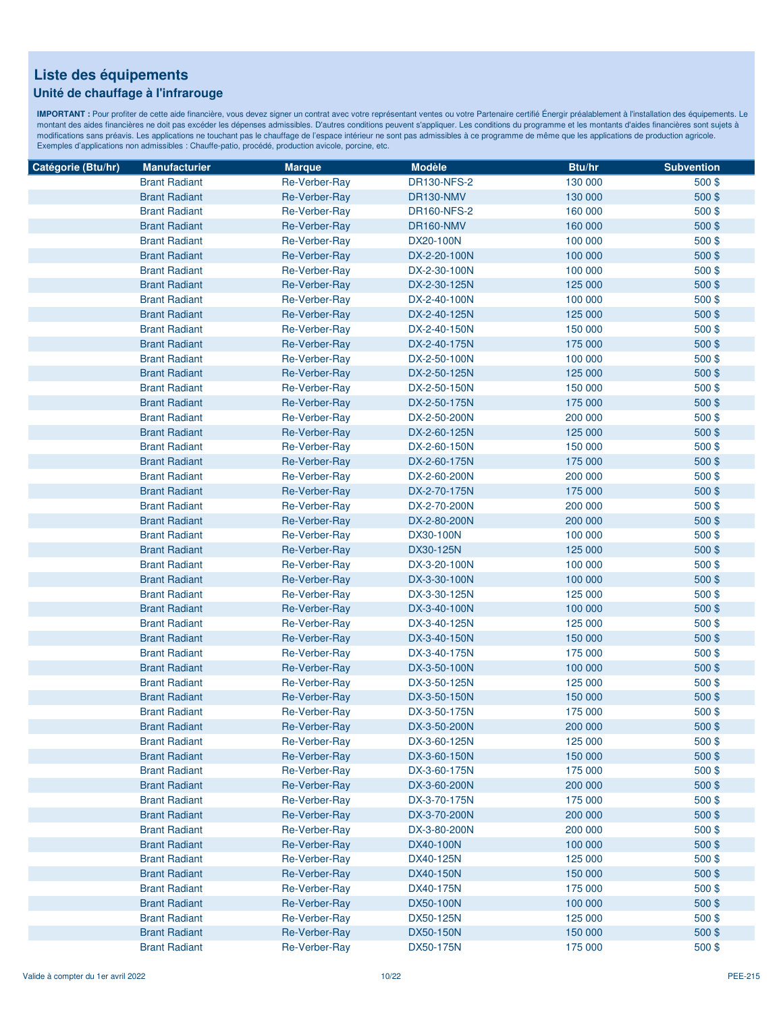### **Unité de chauffage à l'infrarouge**

| Catégorie (Btu/hr) | <b>Manufacturier</b> | <b>Marque</b>        | <b>Modèle</b>      | <b>Btu/hr</b> | <b>Subvention</b> |
|--------------------|----------------------|----------------------|--------------------|---------------|-------------------|
|                    | <b>Brant Radiant</b> | Re-Verber-Ray        | <b>DR130-NFS-2</b> | 130 000       | 500\$             |
|                    | <b>Brant Radiant</b> | Re-Verber-Ray        | DR130-NMV          | 130 000       | 500\$             |
|                    | <b>Brant Radiant</b> | Re-Verber-Ray        | <b>DR160-NFS-2</b> | 160 000       | 500\$             |
|                    | <b>Brant Radiant</b> | Re-Verber-Ray        | DR160-NMV          | 160 000       | 500\$             |
|                    | <b>Brant Radiant</b> | Re-Verber-Ray        | DX20-100N          | 100 000       | 500\$             |
|                    | <b>Brant Radiant</b> | Re-Verber-Ray        | DX-2-20-100N       | 100 000       | 500\$             |
|                    | <b>Brant Radiant</b> | Re-Verber-Ray        | DX-2-30-100N       | 100 000       | 500\$             |
|                    | <b>Brant Radiant</b> | Re-Verber-Ray        | DX-2-30-125N       | 125 000       | 500\$             |
|                    | <b>Brant Radiant</b> | Re-Verber-Ray        | DX-2-40-100N       | 100 000       | $500$ \$          |
|                    | <b>Brant Radiant</b> | Re-Verber-Ray        | DX-2-40-125N       | 125 000       | 500\$             |
|                    | <b>Brant Radiant</b> | Re-Verber-Ray        | DX-2-40-150N       | 150 000       | 500\$             |
|                    | <b>Brant Radiant</b> | Re-Verber-Ray        | DX-2-40-175N       | 175 000       | 500\$             |
|                    | <b>Brant Radiant</b> | Re-Verber-Ray        | DX-2-50-100N       | 100 000       | 500\$             |
|                    | <b>Brant Radiant</b> | Re-Verber-Ray        | DX-2-50-125N       | 125 000       | 500\$             |
|                    | <b>Brant Radiant</b> | Re-Verber-Ray        | DX-2-50-150N       | 150 000       | 500\$             |
|                    | <b>Brant Radiant</b> | Re-Verber-Ray        | DX-2-50-175N       | 175 000       | 500\$             |
|                    | <b>Brant Radiant</b> | Re-Verber-Ray        | DX-2-50-200N       | 200 000       | 500\$             |
|                    | <b>Brant Radiant</b> | Re-Verber-Ray        | DX-2-60-125N       | 125 000       | 500\$             |
|                    | <b>Brant Radiant</b> | Re-Verber-Ray        | DX-2-60-150N       | 150 000       | 500\$             |
|                    | <b>Brant Radiant</b> | <b>Re-Verber-Ray</b> | DX-2-60-175N       | 175 000       | 500\$             |
|                    | <b>Brant Radiant</b> | Re-Verber-Ray        | DX-2-60-200N       | 200 000       | 500\$             |
|                    | <b>Brant Radiant</b> | Re-Verber-Ray        | DX-2-70-175N       | 175 000       | 500\$             |
|                    | <b>Brant Radiant</b> | Re-Verber-Ray        | DX-2-70-200N       | 200 000       | 500\$             |
|                    | <b>Brant Radiant</b> | Re-Verber-Ray        | DX-2-80-200N       | 200 000       | 500\$             |
|                    | <b>Brant Radiant</b> | Re-Verber-Ray        | DX30-100N          | 100 000       | 500\$             |
|                    | <b>Brant Radiant</b> | Re-Verber-Ray        | DX30-125N          | 125 000       | 500 \$            |
|                    | <b>Brant Radiant</b> | Re-Verber-Ray        | DX-3-20-100N       | 100 000       | 500\$             |
|                    | <b>Brant Radiant</b> | Re-Verber-Ray        | DX-3-30-100N       | 100 000       | 500\$             |
|                    | <b>Brant Radiant</b> | Re-Verber-Ray        | DX-3-30-125N       | 125 000       | 500\$             |
|                    | <b>Brant Radiant</b> | Re-Verber-Ray        | DX-3-40-100N       | 100 000       | 500\$             |
|                    | <b>Brant Radiant</b> | Re-Verber-Ray        | DX-3-40-125N       | 125 000       | 500\$             |
|                    | <b>Brant Radiant</b> | Re-Verber-Ray        | DX-3-40-150N       | 150 000       | 500\$             |
|                    | <b>Brant Radiant</b> | Re-Verber-Ray        | DX-3-40-175N       | 175 000       | 500\$             |
|                    | <b>Brant Radiant</b> | Re-Verber-Ray        | DX-3-50-100N       | 100 000       | 500\$             |
|                    | <b>Brant Radiant</b> | Re-Verber-Ray        | DX-3-50-125N       | 125 000       | 500\$             |
|                    | <b>Brant Radiant</b> | Re-Verber-Ray        | DX-3-50-150N       | 150 000       | 500\$             |
|                    | <b>Brant Radiant</b> | Re-Verber-Ray        | DX-3-50-175N       | 175 000       | $500$ \$          |
|                    | <b>Brant Radiant</b> | Re-Verber-Ray        | DX-3-50-200N       | 200 000       | 500\$             |
|                    | <b>Brant Radiant</b> | Re-Verber-Ray        | DX-3-60-125N       | 125 000       | 500\$             |
|                    | <b>Brant Radiant</b> | Re-Verber-Ray        | DX-3-60-150N       | 150 000       | 500\$             |
|                    | <b>Brant Radiant</b> | Re-Verber-Ray        | DX-3-60-175N       | 175 000       | 500\$             |
|                    | <b>Brant Radiant</b> | Re-Verber-Ray        | DX-3-60-200N       | 200 000       | 500\$             |
|                    | <b>Brant Radiant</b> | Re-Verber-Ray        | DX-3-70-175N       | 175 000       | 500\$             |
|                    | <b>Brant Radiant</b> | Re-Verber-Ray        | DX-3-70-200N       | 200 000       | 500\$             |
|                    | <b>Brant Radiant</b> | Re-Verber-Ray        | DX-3-80-200N       | 200 000       | 500\$             |
|                    | <b>Brant Radiant</b> | Re-Verber-Ray        | DX40-100N          | 100 000       | 500\$             |
|                    | <b>Brant Radiant</b> | Re-Verber-Ray        | DX40-125N          | 125 000       | 500\$             |
|                    | <b>Brant Radiant</b> | Re-Verber-Ray        | DX40-150N          | 150 000       | 500\$             |
|                    | <b>Brant Radiant</b> | Re-Verber-Ray        | DX40-175N          | 175 000       | 500\$             |
|                    | <b>Brant Radiant</b> | Re-Verber-Ray        | DX50-100N          | 100 000       | 500\$             |
|                    | <b>Brant Radiant</b> | Re-Verber-Ray        | DX50-125N          | 125 000       | $500$ \$          |
|                    | <b>Brant Radiant</b> | Re-Verber-Ray        | DX50-150N          | 150 000       | 500\$             |
|                    | <b>Brant Radiant</b> | Re-Verber-Ray        | DX50-175N          | 175 000       | 500\$             |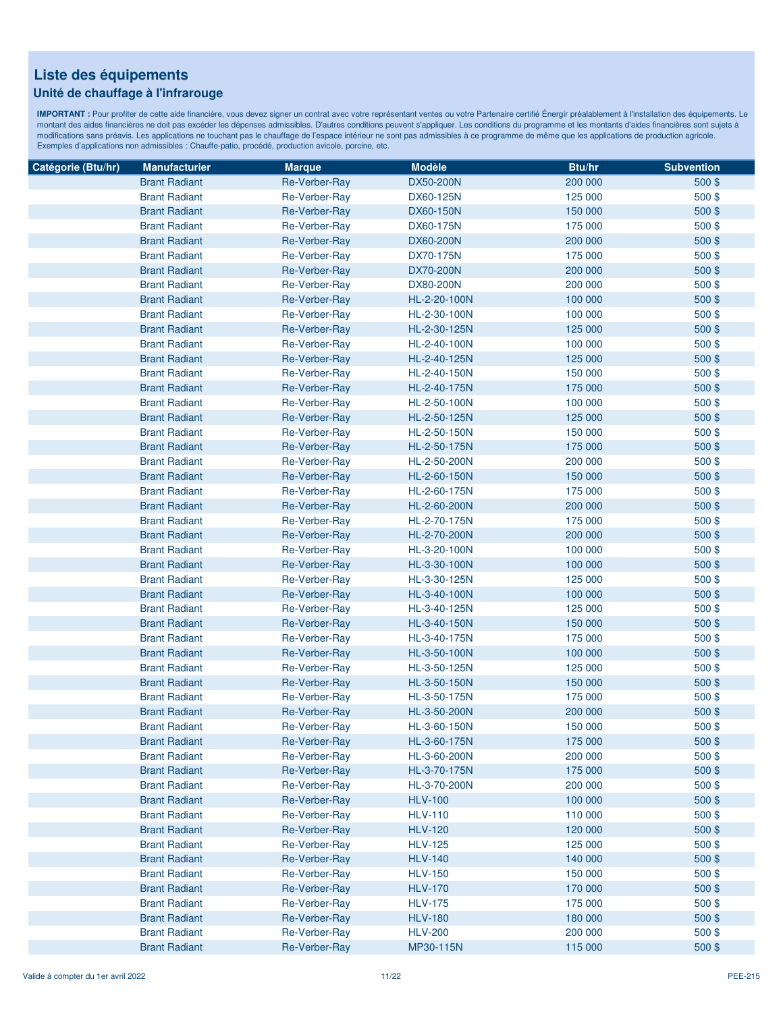### **Unité de chauffage à l'infrarouge**

| Catégorie (Btu/hr) | <b>Manufacturier</b> | <b>Marque</b> | <b>Modèle</b>  | Btu/hr  | <b>Subvention</b> |
|--------------------|----------------------|---------------|----------------|---------|-------------------|
|                    | <b>Brant Radiant</b> | Re-Verber-Ray | DX50-200N      | 200 000 | $500$ \$          |
|                    | <b>Brant Radiant</b> | Re-Verber-Ray | DX60-125N      | 125 000 | 500\$             |
|                    | <b>Brant Radiant</b> | Re-Verber-Ray | DX60-150N      | 150 000 | 500\$             |
|                    | <b>Brant Radiant</b> | Re-Verber-Ray | DX60-175N      | 175 000 | 500\$             |
|                    | <b>Brant Radiant</b> | Re-Verber-Ray | DX60-200N      | 200 000 | 500\$             |
|                    | <b>Brant Radiant</b> | Re-Verber-Ray | DX70-175N      | 175 000 | 500\$             |
|                    | <b>Brant Radiant</b> | Re-Verber-Ray | DX70-200N      | 200 000 | 500\$             |
|                    | <b>Brant Radiant</b> | Re-Verber-Ray | DX80-200N      | 200 000 | 500\$             |
|                    | <b>Brant Radiant</b> | Re-Verber-Ray | HL-2-20-100N   | 100 000 | 500\$             |
|                    | <b>Brant Radiant</b> | Re-Verber-Ray | HL-2-30-100N   | 100 000 | 500\$             |
|                    | <b>Brant Radiant</b> | Re-Verber-Ray | HL-2-30-125N   | 125 000 | 500\$             |
|                    | <b>Brant Radiant</b> | Re-Verber-Ray | HL-2-40-100N   | 100 000 | $500$ \$          |
|                    | <b>Brant Radiant</b> | Re-Verber-Ray | HL-2-40-125N   | 125 000 | 500\$             |
|                    | <b>Brant Radiant</b> | Re-Verber-Ray | HL-2-40-150N   | 150 000 | 500\$             |
|                    | <b>Brant Radiant</b> | Re-Verber-Ray | HL-2-40-175N   | 175 000 | 500\$             |
|                    | <b>Brant Radiant</b> | Re-Verber-Ray | HL-2-50-100N   | 100 000 | 500\$             |
|                    | <b>Brant Radiant</b> | Re-Verber-Ray | HL-2-50-125N   | 125 000 | 500\$             |
|                    | <b>Brant Radiant</b> | Re-Verber-Ray | HL-2-50-150N   | 150 000 | 500\$             |
|                    | <b>Brant Radiant</b> | Re-Verber-Ray | HL-2-50-175N   | 175 000 | 500\$             |
|                    | <b>Brant Radiant</b> | Re-Verber-Ray | HL-2-50-200N   | 200 000 | 500\$             |
|                    | <b>Brant Radiant</b> | Re-Verber-Ray | HL-2-60-150N   | 150 000 | 500\$             |
|                    | <b>Brant Radiant</b> | Re-Verber-Ray | HL-2-60-175N   | 175 000 | 500\$             |
|                    | <b>Brant Radiant</b> | Re-Verber-Ray | HL-2-60-200N   | 200 000 | $500$ \$          |
|                    | <b>Brant Radiant</b> | Re-Verber-Ray | HL-2-70-175N   | 175 000 | 500\$             |
|                    | <b>Brant Radiant</b> | Re-Verber-Ray | HL-2-70-200N   | 200 000 | 500\$             |
|                    | <b>Brant Radiant</b> | Re-Verber-Ray | HL-3-20-100N   | 100 000 | 500\$             |
|                    | <b>Brant Radiant</b> | Re-Verber-Ray | HL-3-30-100N   | 100 000 | 500\$             |
|                    | <b>Brant Radiant</b> | Re-Verber-Ray | HL-3-30-125N   | 125 000 | 500\$             |
|                    | <b>Brant Radiant</b> | Re-Verber-Ray | HL-3-40-100N   | 100 000 | 500\$             |
|                    | <b>Brant Radiant</b> | Re-Verber-Ray | HL-3-40-125N   | 125 000 | 500\$             |
|                    | <b>Brant Radiant</b> | Re-Verber-Ray | HL-3-40-150N   | 150 000 | 500\$             |
|                    | <b>Brant Radiant</b> | Re-Verber-Ray | HL-3-40-175N   | 175 000 | 500\$             |
|                    | <b>Brant Radiant</b> | Re-Verber-Ray | HL-3-50-100N   | 100 000 | 500\$             |
|                    | <b>Brant Radiant</b> | Re-Verber-Ray | HL-3-50-125N   | 125 000 | 500\$             |
|                    | <b>Brant Radiant</b> | Re-Verber-Ray | HL-3-50-150N   | 150 000 | 500\$             |
|                    | <b>Brant Radiant</b> | Re-Verber-Ray | HL-3-50-175N   | 175 000 | 500\$             |
|                    | <b>Brant Radiant</b> | Re-Verber-Ray | HL-3-50-200N   | 200 000 | 500\$             |
|                    | <b>Brant Radiant</b> | Re-Verber-Ray | HL-3-60-150N   | 150 000 | 500\$             |
|                    | <b>Brant Radiant</b> | Re-Verber-Ray | HL-3-60-175N   | 175 000 | 500\$             |
|                    | <b>Brant Radiant</b> | Re-Verber-Ray | HL-3-60-200N   | 200 000 | 500\$             |
|                    | <b>Brant Radiant</b> | Re-Verber-Ray | HL-3-70-175N   | 175 000 | 500\$             |
|                    | <b>Brant Radiant</b> | Re-Verber-Ray | HL-3-70-200N   | 200 000 | 500\$             |
|                    | <b>Brant Radiant</b> | Re-Verber-Ray | <b>HLV-100</b> | 100 000 | 500\$             |
|                    | <b>Brant Radiant</b> | Re-Verber-Ray | <b>HLV-110</b> | 110 000 | $500$ \$          |
|                    | <b>Brant Radiant</b> | Re-Verber-Ray | <b>HLV-120</b> | 120 000 | 500\$             |
|                    | <b>Brant Radiant</b> | Re-Verber-Ray | <b>HLV-125</b> | 125 000 | 500\$             |
|                    | <b>Brant Radiant</b> | Re-Verber-Ray | <b>HLV-140</b> | 140 000 | 500\$             |
|                    | <b>Brant Radiant</b> | Re-Verber-Ray | <b>HLV-150</b> | 150 000 | $500$ \$          |
|                    | <b>Brant Radiant</b> | Re-Verber-Ray | <b>HLV-170</b> | 170 000 | 500\$             |
|                    | <b>Brant Radiant</b> | Re-Verber-Ray | <b>HLV-175</b> | 175 000 | $500$ \$          |
|                    | <b>Brant Radiant</b> | Re-Verber-Ray | <b>HLV-180</b> | 180 000 | $500$ \$          |
|                    | <b>Brant Radiant</b> | Re-Verber-Ray | <b>HLV-200</b> | 200 000 | 500\$             |
|                    | <b>Brant Radiant</b> | Re-Verber-Ray | MP30-115N      | 115 000 | 500\$             |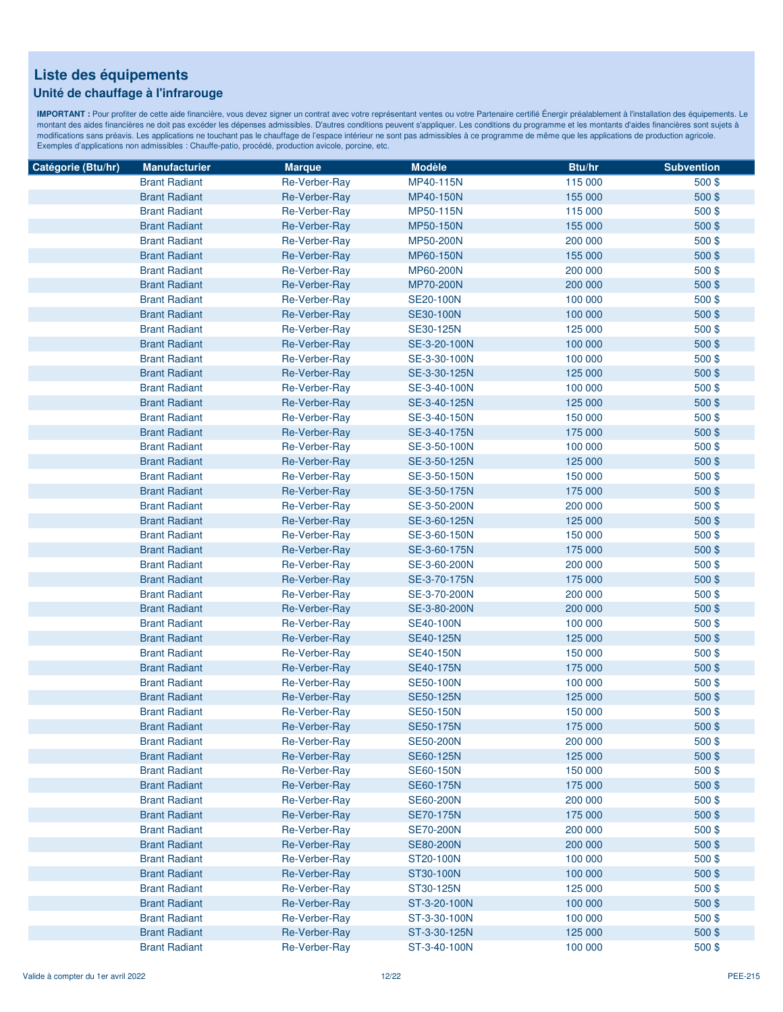### **Unité de chauffage à l'infrarouge**

| Catégorie (Btu/hr) | <b>Manufacturier</b> | <b>Marque</b> | <b>Modèle</b>    | Btu/hr  | <b>Subvention</b> |
|--------------------|----------------------|---------------|------------------|---------|-------------------|
|                    | <b>Brant Radiant</b> | Re-Verber-Ray | MP40-115N        | 115 000 | 500\$             |
|                    | <b>Brant Radiant</b> | Re-Verber-Ray | MP40-150N        | 155 000 | 500\$             |
|                    | <b>Brant Radiant</b> | Re-Verber-Ray | MP50-115N        | 115 000 | 500\$             |
|                    | <b>Brant Radiant</b> | Re-Verber-Ray | MP50-150N        | 155 000 | 500\$             |
|                    | <b>Brant Radiant</b> | Re-Verber-Ray | MP50-200N        | 200 000 | 500\$             |
|                    | <b>Brant Radiant</b> | Re-Verber-Ray | MP60-150N        | 155 000 | 500\$             |
|                    | <b>Brant Radiant</b> | Re-Verber-Ray | MP60-200N        | 200 000 | 500\$             |
|                    | <b>Brant Radiant</b> | Re-Verber-Ray | MP70-200N        | 200 000 | 500\$             |
|                    | <b>Brant Radiant</b> | Re-Verber-Ray | <b>SE20-100N</b> | 100 000 | 500\$             |
|                    | <b>Brant Radiant</b> | Re-Verber-Ray | <b>SE30-100N</b> | 100 000 | 500\$             |
|                    | <b>Brant Radiant</b> | Re-Verber-Ray | SE30-125N        | 125 000 | $500$ \$          |
|                    | <b>Brant Radiant</b> | Re-Verber-Ray | SE-3-20-100N     | 100 000 | 500\$             |
|                    | <b>Brant Radiant</b> | Re-Verber-Ray | SE-3-30-100N     | 100 000 | 500\$             |
|                    | <b>Brant Radiant</b> | Re-Verber-Ray | SE-3-30-125N     | 125 000 | 500\$             |
|                    | <b>Brant Radiant</b> | Re-Verber-Ray | SE-3-40-100N     | 100 000 | 500\$             |
|                    | <b>Brant Radiant</b> | Re-Verber-Ray | SE-3-40-125N     | 125 000 | 500\$             |
|                    | <b>Brant Radiant</b> | Re-Verber-Ray | SE-3-40-150N     | 150 000 | 500\$             |
|                    | <b>Brant Radiant</b> | Re-Verber-Ray | SE-3-40-175N     | 175 000 | 500\$             |
|                    | <b>Brant Radiant</b> | Re-Verber-Ray | SE-3-50-100N     | 100 000 | 500\$             |
|                    | <b>Brant Radiant</b> | Re-Verber-Ray | SE-3-50-125N     | 125 000 | 500\$             |
|                    | <b>Brant Radiant</b> | Re-Verber-Ray | SE-3-50-150N     | 150 000 | 500\$             |
|                    | <b>Brant Radiant</b> | Re-Verber-Ray | SE-3-50-175N     | 175 000 | 500\$             |
|                    | <b>Brant Radiant</b> | Re-Verber-Ray | SE-3-50-200N     | 200 000 | $500$ \$          |
|                    | <b>Brant Radiant</b> | Re-Verber-Ray | SE-3-60-125N     | 125 000 | 500\$             |
|                    | <b>Brant Radiant</b> | Re-Verber-Ray | SE-3-60-150N     | 150 000 | 500\$             |
|                    | <b>Brant Radiant</b> | Re-Verber-Ray | SE-3-60-175N     | 175 000 | 500\$             |
|                    | <b>Brant Radiant</b> | Re-Verber-Ray | SE-3-60-200N     | 200 000 | 500\$             |
|                    | <b>Brant Radiant</b> | Re-Verber-Ray | SE-3-70-175N     | 175 000 | 500\$             |
|                    | <b>Brant Radiant</b> | Re-Verber-Ray | SE-3-70-200N     | 200 000 | 500\$             |
|                    | <b>Brant Radiant</b> | Re-Verber-Ray | SE-3-80-200N     | 200 000 | 500\$             |
|                    | <b>Brant Radiant</b> | Re-Verber-Ray | <b>SE40-100N</b> | 100 000 | 500\$             |
|                    | <b>Brant Radiant</b> | Re-Verber-Ray | <b>SE40-125N</b> | 125 000 | 500\$             |
|                    | <b>Brant Radiant</b> | Re-Verber-Ray | <b>SE40-150N</b> | 150 000 | 500\$             |
|                    | <b>Brant Radiant</b> | Re-Verber-Ray | <b>SE40-175N</b> | 175 000 | 500\$             |
|                    | <b>Brant Radiant</b> | Re-Verber-Ray | <b>SE50-100N</b> | 100 000 | 500\$             |
|                    | <b>Brant Radiant</b> | Re-Verber-Ray | <b>SE50-125N</b> | 125 000 | 500\$             |
|                    | <b>Brant Radiant</b> | Re-Verber-Ray | <b>SE50-150N</b> | 150 000 | $500$ \$          |
|                    | <b>Brant Radiant</b> | Re-Verber-Ray | <b>SE50-175N</b> | 175 000 | 500\$             |
|                    | <b>Brant Radiant</b> | Re-Verber-Ray | <b>SE50-200N</b> | 200 000 | 500\$             |
|                    | <b>Brant Radiant</b> | Re-Verber-Ray | SE60-125N        | 125 000 | 500\$             |
|                    | <b>Brant Radiant</b> | Re-Verber-Ray | <b>SE60-150N</b> | 150 000 | 500\$             |
|                    | <b>Brant Radiant</b> | Re-Verber-Ray | SE60-175N        | 175 000 | 500\$             |
|                    | <b>Brant Radiant</b> | Re-Verber-Ray | <b>SE60-200N</b> | 200 000 | $500$ \$          |
|                    | <b>Brant Radiant</b> | Re-Verber-Ray | <b>SE70-175N</b> | 175 000 | 500\$             |
|                    | <b>Brant Radiant</b> | Re-Verber-Ray | <b>SE70-200N</b> | 200 000 | $500$ \$          |
|                    | <b>Brant Radiant</b> | Re-Verber-Ray | <b>SE80-200N</b> | 200 000 | 500\$             |
|                    | <b>Brant Radiant</b> | Re-Verber-Ray | ST20-100N        | 100 000 | 500\$             |
|                    | <b>Brant Radiant</b> | Re-Verber-Ray | ST30-100N        | 100 000 | 500\$             |
|                    | <b>Brant Radiant</b> | Re-Verber-Ray | ST30-125N        | 125 000 | $500$ \$          |
|                    | <b>Brant Radiant</b> | Re-Verber-Ray | ST-3-20-100N     | 100 000 | 500\$             |
|                    | <b>Brant Radiant</b> | Re-Verber-Ray | ST-3-30-100N     | 100 000 | 500\$             |
|                    | <b>Brant Radiant</b> | Re-Verber-Ray | ST-3-30-125N     | 125 000 | 500\$             |
|                    | <b>Brant Radiant</b> | Re-Verber-Ray | ST-3-40-100N     | 100 000 | 500\$             |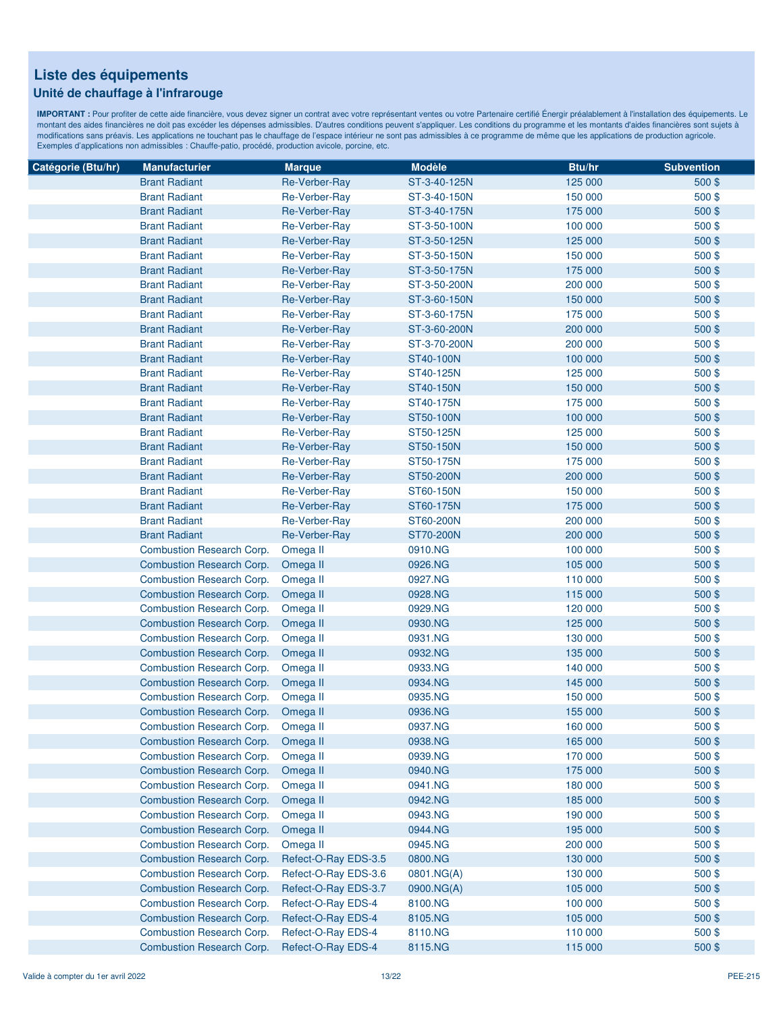### **Unité de chauffage à l'infrarouge**

| Catégorie (Btu/hr) | <b>Manufacturier</b>             | <b>Marque</b>        | <b>Modèle</b> | Btu/hr  | <b>Subvention</b> |
|--------------------|----------------------------------|----------------------|---------------|---------|-------------------|
|                    | <b>Brant Radiant</b>             | Re-Verber-Ray        | ST-3-40-125N  | 125 000 | 500\$             |
|                    | <b>Brant Radiant</b>             | Re-Verber-Ray        | ST-3-40-150N  | 150 000 | 500\$             |
|                    | <b>Brant Radiant</b>             | Re-Verber-Ray        | ST-3-40-175N  | 175 000 | 500\$             |
|                    | <b>Brant Radiant</b>             | Re-Verber-Ray        | ST-3-50-100N  | 100 000 | 500\$             |
|                    | <b>Brant Radiant</b>             | Re-Verber-Ray        | ST-3-50-125N  | 125 000 | 500\$             |
|                    | <b>Brant Radiant</b>             | Re-Verber-Ray        | ST-3-50-150N  | 150 000 | 500\$             |
|                    | <b>Brant Radiant</b>             | Re-Verber-Ray        | ST-3-50-175N  | 175 000 | 500\$             |
|                    | <b>Brant Radiant</b>             | Re-Verber-Ray        | ST-3-50-200N  | 200 000 | 500\$             |
|                    | <b>Brant Radiant</b>             | <b>Re-Verber-Ray</b> | ST-3-60-150N  | 150 000 | 500\$             |
|                    | <b>Brant Radiant</b>             | Re-Verber-Ray        | ST-3-60-175N  | 175 000 | 500\$             |
|                    | <b>Brant Radiant</b>             | Re-Verber-Ray        | ST-3-60-200N  | 200 000 | 500\$             |
|                    | <b>Brant Radiant</b>             | Re-Verber-Ray        | ST-3-70-200N  | 200 000 | 500\$             |
|                    | <b>Brant Radiant</b>             | Re-Verber-Ray        | ST40-100N     | 100 000 | 500\$             |
|                    | <b>Brant Radiant</b>             | Re-Verber-Ray        | ST40-125N     | 125 000 | 500\$             |
|                    | <b>Brant Radiant</b>             | Re-Verber-Ray        | ST40-150N     | 150 000 | 500\$             |
|                    | <b>Brant Radiant</b>             | Re-Verber-Ray        | ST40-175N     | 175 000 | 500\$             |
|                    | <b>Brant Radiant</b>             | Re-Verber-Ray        | ST50-100N     | 100 000 | 500\$             |
|                    | <b>Brant Radiant</b>             | Re-Verber-Ray        | ST50-125N     | 125 000 | 500\$             |
|                    | <b>Brant Radiant</b>             | Re-Verber-Ray        | ST50-150N     | 150 000 | 500\$             |
|                    | <b>Brant Radiant</b>             | Re-Verber-Ray        | ST50-175N     | 175 000 | 500\$             |
|                    | <b>Brant Radiant</b>             | Re-Verber-Ray        | ST50-200N     | 200 000 | 500\$             |
|                    | <b>Brant Radiant</b>             | Re-Verber-Ray        | ST60-150N     | 150 000 | 500\$             |
|                    | <b>Brant Radiant</b>             | <b>Re-Verber-Ray</b> | ST60-175N     | 175 000 | 500\$             |
|                    | <b>Brant Radiant</b>             | Re-Verber-Ray        | ST60-200N     | 200 000 | 500\$             |
|                    | <b>Brant Radiant</b>             | Re-Verber-Ray        | ST70-200N     | 200 000 | 500\$             |
|                    | <b>Combustion Research Corp.</b> | Omega II             | 0910.NG       | 100 000 | 500\$             |
|                    | <b>Combustion Research Corp.</b> | Omega II             | 0926.NG       | 105 000 | 500\$             |
|                    | Combustion Research Corp.        | Omega II             | 0927.NG       | 110 000 | 500\$             |
|                    | <b>Combustion Research Corp.</b> | Omega II             | 0928.NG       | 115 000 | 500\$             |
|                    | Combustion Research Corp.        | Omega II             | 0929.NG       | 120 000 | 500\$             |
|                    | Combustion Research Corp.        | Omega II             | 0930.NG       | 125 000 | 500\$             |
|                    | Combustion Research Corp.        | Omega II             | 0931.NG       | 130 000 | 500\$             |
|                    | Combustion Research Corp.        | Omega II             | 0932.NG       | 135 000 | 500\$             |
|                    | Combustion Research Corp.        | Omega II             | 0933.NG       | 140 000 | 500\$             |
|                    | <b>Combustion Research Corp.</b> | Omega II             | 0934.NG       | 145 000 | 500\$             |
|                    | Combustion Research Corp.        | Omega II             | 0935.NG       | 150 000 | 500\$             |
|                    | <b>Combustion Research Corp.</b> | Omega II             | 0936.NG       | 155 000 | 500\$             |
|                    | <b>Combustion Research Corp.</b> | Omega II             | 0937.NG       | 160 000 | 500\$             |
|                    | <b>Combustion Research Corp.</b> | Omega II             | 0938.NG       | 165 000 | 500\$             |
|                    | Combustion Research Corp.        | Omega II             | 0939.NG       | 170 000 | 500\$             |
|                    | <b>Combustion Research Corp.</b> | Omega II             | 0940.NG       | 175 000 | 500\$             |
|                    | Combustion Research Corp.        | Omega II             | 0941.NG       | 180 000 | 500\$             |
|                    | <b>Combustion Research Corp.</b> | Omega II             | 0942.NG       | 185 000 | 500\$             |
|                    | Combustion Research Corp.        | Omega II             | 0943.NG       | 190 000 | 500\$             |
|                    | <b>Combustion Research Corp.</b> | Omega II             | 0944.NG       | 195 000 | 500\$             |
|                    | Combustion Research Corp.        | Omega II             | 0945.NG       | 200 000 | 500\$             |
|                    | <b>Combustion Research Corp.</b> | Refect-O-Ray EDS-3.5 | 0800.NG       | 130 000 | 500\$             |
|                    | Combustion Research Corp.        | Refect-O-Ray EDS-3.6 | 0801.NG(A)    | 130 000 | 500\$             |
|                    | <b>Combustion Research Corp.</b> | Refect-O-Ray EDS-3.7 | 0900.NG(A)    | 105 000 | 500\$             |
|                    | Combustion Research Corp.        | Refect-O-Ray EDS-4   | 8100.NG       | 100 000 | 500\$             |
|                    | <b>Combustion Research Corp.</b> | Refect-O-Ray EDS-4   | 8105.NG       | 105 000 | $500$ \$          |
|                    | Combustion Research Corp.        | Refect-O-Ray EDS-4   | 8110.NG       | 110 000 | 500\$             |
|                    | <b>Combustion Research Corp.</b> | Refect-O-Ray EDS-4   | 8115.NG       | 115 000 | 500 \$            |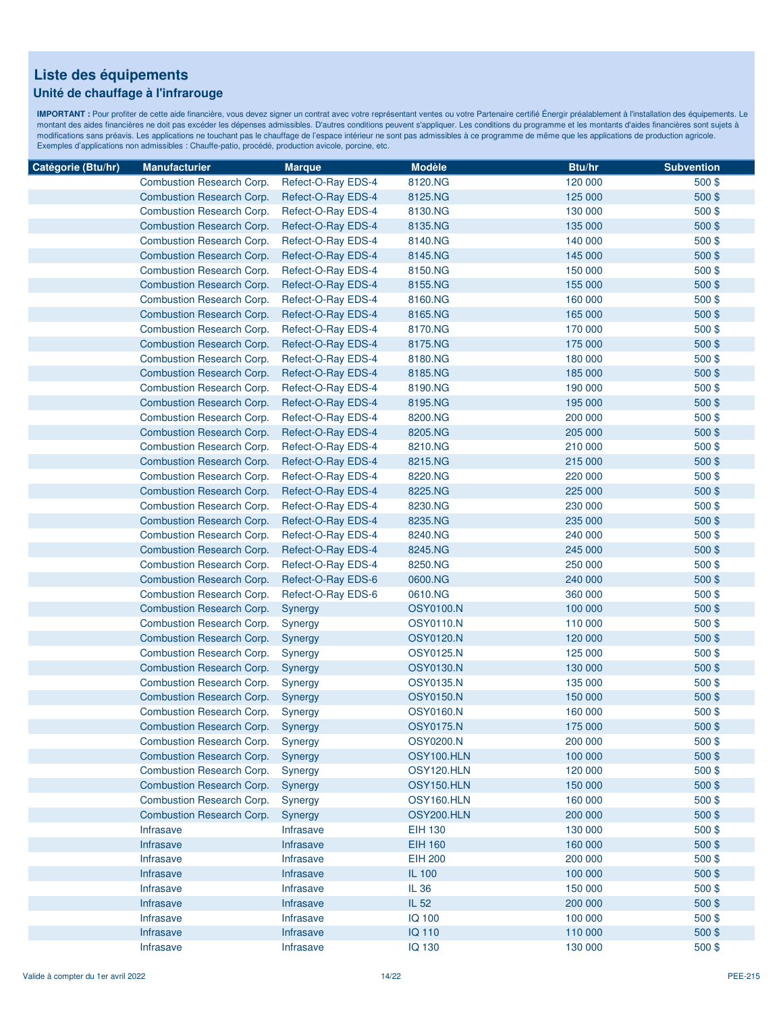#### **Unité de chauffage à l'infrarouge**

| Catégorie (Btu/hr) | <b>Manufacturier</b>             | <b>Marque</b>      | <b>Modèle</b>    | Btu/hr  | <b>Subvention</b> |
|--------------------|----------------------------------|--------------------|------------------|---------|-------------------|
|                    | Combustion Research Corp.        | Refect-O-Ray EDS-4 | 8120.NG          | 120 000 | 500\$             |
|                    | <b>Combustion Research Corp.</b> | Refect-O-Ray EDS-4 | 8125.NG          | 125 000 | $500$ \$          |
|                    | <b>Combustion Research Corp.</b> | Refect-O-Ray EDS-4 | 8130.NG          | 130 000 | 500\$             |
|                    | <b>Combustion Research Corp.</b> | Refect-O-Ray EDS-4 | 8135.NG          | 135 000 | 500\$             |
|                    | Combustion Research Corp.        | Refect-O-Ray EDS-4 | 8140.NG          | 140 000 | 500\$             |
|                    | <b>Combustion Research Corp.</b> | Refect-O-Ray EDS-4 | 8145.NG          | 145 000 | 500\$             |
|                    | <b>Combustion Research Corp.</b> | Refect-O-Ray EDS-4 | 8150.NG          | 150 000 | 500\$             |
|                    | <b>Combustion Research Corp.</b> | Refect-O-Ray EDS-4 | 8155.NG          | 155 000 | 500\$             |
|                    | Combustion Research Corp.        | Refect-O-Ray EDS-4 | 8160.NG          | 160 000 | 500\$             |
|                    | <b>Combustion Research Corp.</b> | Refect-O-Ray EDS-4 | 8165.NG          | 165 000 | 500\$             |
|                    | <b>Combustion Research Corp.</b> | Refect-O-Ray EDS-4 | 8170.NG          | 170 000 | 500\$             |
|                    | <b>Combustion Research Corp.</b> | Refect-O-Ray EDS-4 | 8175.NG          | 175 000 | 500\$             |
|                    | <b>Combustion Research Corp.</b> | Refect-O-Ray EDS-4 | 8180.NG          | 180 000 | 500\$             |
|                    | <b>Combustion Research Corp.</b> | Refect-O-Ray EDS-4 | 8185.NG          | 185 000 | 500\$             |
|                    | <b>Combustion Research Corp.</b> | Refect-O-Ray EDS-4 | 8190.NG          | 190 000 | 500\$             |
|                    | <b>Combustion Research Corp.</b> | Refect-O-Ray EDS-4 | 8195.NG          | 195 000 | 500\$             |
|                    | <b>Combustion Research Corp.</b> | Refect-O-Ray EDS-4 | 8200.NG          | 200 000 | 500\$             |
|                    | <b>Combustion Research Corp.</b> | Refect-O-Ray EDS-4 | 8205.NG          | 205 000 | 500\$             |
|                    | <b>Combustion Research Corp.</b> | Refect-O-Ray EDS-4 | 8210.NG          | 210 000 | 500\$             |
|                    | <b>Combustion Research Corp.</b> | Refect-O-Ray EDS-4 | 8215.NG          | 215 000 | 500\$             |
|                    | <b>Combustion Research Corp.</b> | Refect-O-Ray EDS-4 | 8220.NG          | 220 000 | 500\$             |
|                    | <b>Combustion Research Corp.</b> | Refect-O-Ray EDS-4 | 8225.NG          | 225 000 | 500\$             |
|                    | Combustion Research Corp.        | Refect-O-Ray EDS-4 | 8230.NG          | 230 000 | $500$ \$          |
|                    | <b>Combustion Research Corp.</b> | Refect-O-Ray EDS-4 | 8235.NG          | 235 000 | 500\$             |
|                    | <b>Combustion Research Corp.</b> | Refect-O-Ray EDS-4 | 8240.NG          | 240 000 | 500\$             |
|                    | <b>Combustion Research Corp.</b> | Refect-O-Ray EDS-4 | 8245.NG          | 245 000 | 500\$             |
|                    | <b>Combustion Research Corp.</b> | Refect-O-Ray EDS-4 | 8250.NG          | 250 000 | 500\$             |
|                    | <b>Combustion Research Corp.</b> | Refect-O-Ray EDS-6 | 0600.NG          | 240 000 | 500\$             |
|                    | <b>Combustion Research Corp.</b> | Refect-O-Ray EDS-6 | 0610.NG          | 360 000 | 500\$             |
|                    | <b>Combustion Research Corp.</b> | Synergy            | <b>OSY0100.N</b> | 100 000 | 500\$             |
|                    | <b>Combustion Research Corp.</b> | Synergy            | <b>OSY0110.N</b> | 110 000 | 500\$             |
|                    | <b>Combustion Research Corp.</b> | Synergy            | <b>OSY0120.N</b> | 120 000 | 500\$             |
|                    | <b>Combustion Research Corp.</b> | Synergy            | <b>OSY0125.N</b> | 125 000 | 500\$             |
|                    | <b>Combustion Research Corp.</b> | Synergy            | <b>OSY0130.N</b> | 130 000 | 500\$             |
|                    | <b>Combustion Research Corp.</b> | Synergy            | <b>OSY0135.N</b> | 135 000 | $500$ \$          |
|                    | <b>Combustion Research Corp.</b> | Synergy            | <b>OSY0150.N</b> | 150 000 | 500\$             |
|                    | <b>Combustion Research Corp.</b> | Synergy            | <b>OSY0160.N</b> | 160 000 | 500\$             |
|                    | <b>Combustion Research Corp.</b> | Synergy            | <b>OSY0175.N</b> | 175 000 | 500\$             |
|                    | Combustion Research Corp.        | Synergy            | <b>OSY0200.N</b> | 200 000 | 500\$             |
|                    | <b>Combustion Research Corp.</b> | Synergy            | OSY100.HLN       | 100 000 | 500\$             |
|                    | <b>Combustion Research Corp.</b> | Synergy            | OSY120.HLN       | 120 000 | 500\$             |
|                    | <b>Combustion Research Corp.</b> | Synergy            | OSY150.HLN       | 150 000 | 500\$             |
|                    | Combustion Research Corp.        | Synergy            | OSY160.HLN       | 160 000 | 500\$             |
|                    | <b>Combustion Research Corp.</b> | Synergy            | OSY200.HLN       | 200 000 | 500\$             |
|                    | Infrasave                        | Infrasave          | <b>EIH 130</b>   | 130 000 | 500\$             |
|                    | Infrasave                        | Infrasave          | <b>EIH 160</b>   | 160 000 | 500\$             |
|                    | Infrasave                        | Infrasave          | <b>EIH 200</b>   | 200 000 | 500\$             |
|                    | Infrasave                        | Infrasave          | IL 100           | 100 000 | 500\$             |
|                    | <b>Infrasave</b>                 | Infrasave          | IL 36            | 150 000 | 500\$             |
|                    | <b>Infrasave</b>                 | Infrasave          | IL 52            | 200 000 | 500\$             |
|                    | Infrasave                        | Infrasave          | <b>IQ 100</b>    | 100 000 | 500\$             |
|                    | <b>Infrasave</b>                 | Infrasave          | IQ 110           | 110 000 | 500\$             |
|                    | Infrasave                        | Infrasave          | <b>IQ 130</b>    | 130 000 | 500\$             |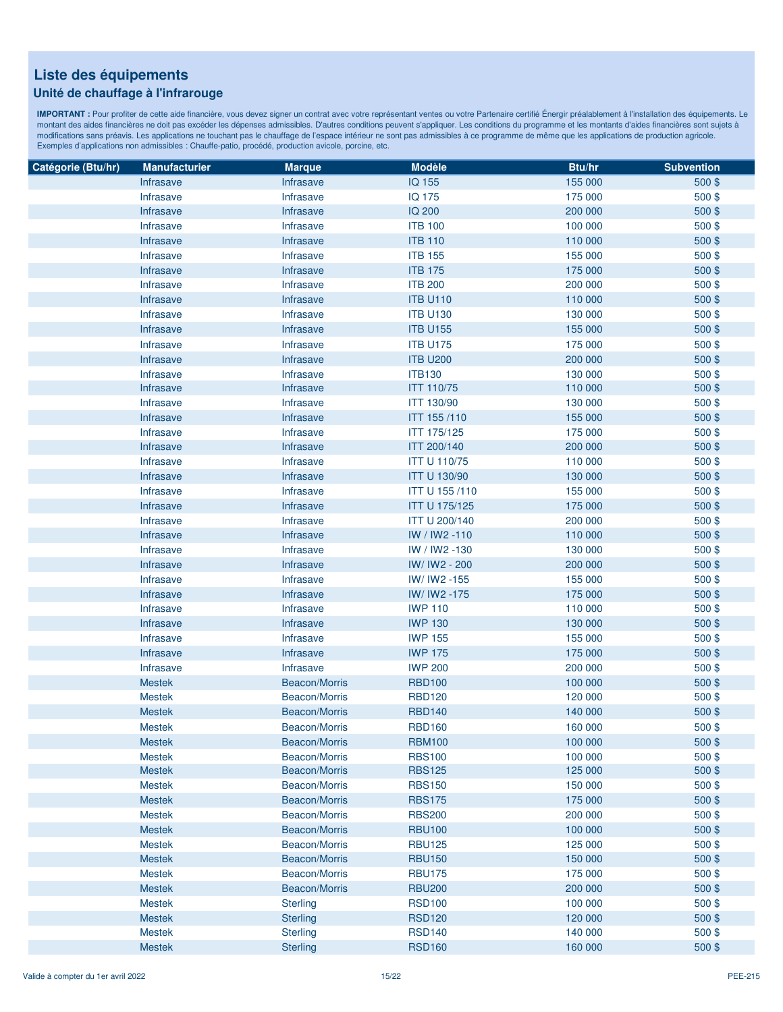### **Unité de chauffage à l'infrarouge**

| Catégorie (Btu/hr) | <b>Manufacturier</b> | <b>Marque</b>        | <b>Modèle</b>        | Btu/hr  | <b>Subvention</b> |
|--------------------|----------------------|----------------------|----------------------|---------|-------------------|
|                    | <b>Infrasave</b>     | Infrasave            | IQ 155               | 155 000 | $500$ \$          |
|                    | Infrasave            | Infrasave            | <b>IQ 175</b>        | 175 000 | 500\$             |
|                    | Infrasave            | Infrasave            | <b>IQ 200</b>        | 200 000 | 500\$             |
|                    | Infrasave            | Infrasave            | <b>ITB 100</b>       | 100 000 | 500\$             |
|                    | <b>Infrasave</b>     | Infrasave            | <b>ITB 110</b>       | 110 000 | 500\$             |
|                    | Infrasave            | Infrasave            | <b>ITB 155</b>       | 155 000 | 500\$             |
|                    | Infrasave            | Infrasave            | <b>ITB 175</b>       | 175 000 | 500\$             |
|                    | Infrasave            | Infrasave            | <b>ITB 200</b>       | 200 000 | 500\$             |
|                    | Infrasave            | Infrasave            | <b>ITB U110</b>      | 110 000 | 500\$             |
|                    | Infrasave            | Infrasave            | <b>ITB U130</b>      | 130 000 | 500\$             |
|                    | <b>Infrasave</b>     | Infrasave            | <b>ITB U155</b>      | 155 000 | 500\$             |
|                    | <b>Infrasave</b>     | Infrasave            | <b>ITB U175</b>      | 175 000 | 500\$             |
|                    | <b>Infrasave</b>     | Infrasave            | <b>ITB U200</b>      | 200 000 | 500\$             |
|                    | Infrasave            | Infrasave            | <b>ITB130</b>        | 130 000 | 500\$             |
|                    | Infrasave            | Infrasave            | <b>ITT 110/75</b>    | 110 000 | 500\$             |
|                    | Infrasave            | Infrasave            | <b>ITT 130/90</b>    | 130 000 | 500\$             |
|                    | Infrasave            | Infrasave            | <b>ITT 155 /110</b>  | 155 000 | 500\$             |
|                    | <b>Infrasave</b>     | Infrasave            | ITT 175/125          | 175 000 | 500\$             |
|                    | Infrasave            | Infrasave            | <b>ITT 200/140</b>   | 200 000 | 500\$             |
|                    |                      | Infrasave            | <b>ITT U 110/75</b>  | 110 000 | 500\$             |
|                    | Infrasave            |                      |                      | 130 000 |                   |
|                    | <b>Infrasave</b>     | Infrasave            | <b>ITT U 130/90</b>  |         | 500\$             |
|                    | Infrasave            | Infrasave            | <b>ITT U 155/110</b> | 155 000 | 500\$             |
|                    | <b>Infrasave</b>     | Infrasave            | <b>ITT U 175/125</b> | 175 000 | 500\$             |
|                    | <b>Infrasave</b>     | Infrasave            | <b>ITT U 200/140</b> | 200 000 | 500\$             |
|                    | <b>Infrasave</b>     | Infrasave            | IW / IW2 -110        | 110 000 | 500\$             |
|                    | Infrasave            | Infrasave            | IW / IW2 -130        | 130 000 | 500\$             |
|                    | Infrasave            | Infrasave            | IW/ IW2 - 200        | 200 000 | 500\$             |
|                    | Infrasave            | Infrasave            | IW/ IW2 -155         | 155 000 | 500\$             |
|                    | Infrasave            | Infrasave            | IW/ IW2 -175         | 175 000 | 500\$             |
|                    | <b>Infrasave</b>     | Infrasave            | <b>IWP 110</b>       | 110 000 | 500\$             |
|                    | Infrasave            | Infrasave            | <b>IWP 130</b>       | 130 000 | 500\$             |
|                    | Infrasave            | Infrasave            | <b>IWP 155</b>       | 155 000 | 500\$             |
|                    | <b>Infrasave</b>     | Infrasave            | <b>IWP 175</b>       | 175 000 | 500\$             |
|                    | Infrasave            | Infrasave            | <b>IWP 200</b>       | 200 000 | 500\$             |
|                    | <b>Mestek</b>        | <b>Beacon/Morris</b> | <b>RBD100</b>        | 100 000 | 500\$             |
|                    | <b>Mestek</b>        | <b>Beacon/Morris</b> | <b>RBD120</b>        | 120 000 | 500\$             |
|                    | <b>Mestek</b>        | Beacon/Morris        | <b>RBD140</b>        | 140 000 | 500\$             |
|                    | <b>Mestek</b>        | <b>Beacon/Morris</b> | <b>RBD160</b>        | 160 000 | 500\$             |
|                    | <b>Mestek</b>        | Beacon/Morris        | <b>RBM100</b>        | 100 000 | 500\$             |
|                    | <b>Mestek</b>        | Beacon/Morris        | <b>RBS100</b>        | 100 000 | 500\$             |
|                    | <b>Mestek</b>        | Beacon/Morris        | <b>RBS125</b>        | 125 000 | 500\$             |
|                    | <b>Mestek</b>        | Beacon/Morris        | <b>RBS150</b>        | 150 000 | 500\$             |
|                    | <b>Mestek</b>        | Beacon/Morris        | <b>RBS175</b>        | 175 000 | 500\$             |
|                    | <b>Mestek</b>        | Beacon/Morris        | <b>RBS200</b>        | 200 000 | 500\$             |
|                    | <b>Mestek</b>        | Beacon/Morris        | <b>RBU100</b>        | 100 000 | 500\$             |
|                    | <b>Mestek</b>        | Beacon/Morris        | <b>RBU125</b>        | 125 000 | 500\$             |
|                    | <b>Mestek</b>        | Beacon/Morris        | <b>RBU150</b>        | 150 000 | 500\$             |
|                    | <b>Mestek</b>        | Beacon/Morris        | <b>RBU175</b>        | 175 000 | 500\$             |
|                    | <b>Mestek</b>        | Beacon/Morris        | <b>RBU200</b>        | 200 000 | 500\$             |
|                    | <b>Mestek</b>        | <b>Sterling</b>      | <b>RSD100</b>        | 100 000 | 500\$             |
|                    | <b>Mestek</b>        | <b>Sterling</b>      | <b>RSD120</b>        | 120 000 | 500\$             |
|                    | <b>Mestek</b>        | <b>Sterling</b>      | <b>RSD140</b>        | 140 000 | 500\$             |
|                    | <b>Mestek</b>        | <b>Sterling</b>      | <b>RSD160</b>        | 160 000 | 500\$             |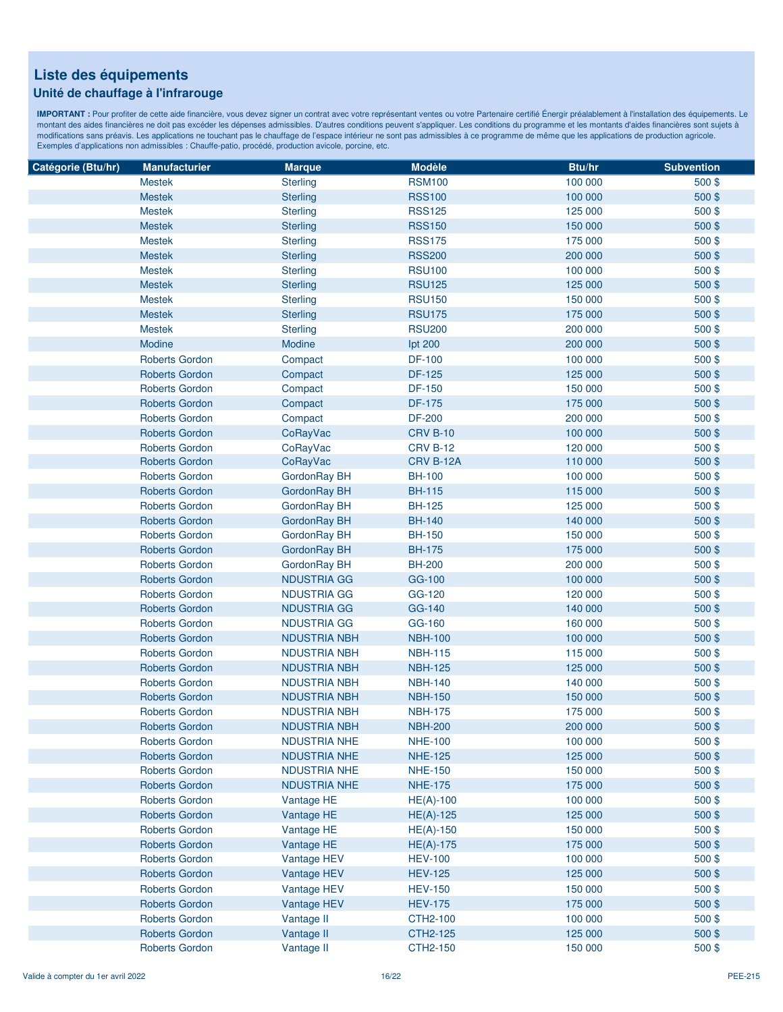### **Unité de chauffage à l'infrarouge**

| Catégorie (Btu/hr)                             | <b>Manufacturier</b>                                                    | <b>Marque</b>       | <b>Modèle</b>   | Btu/hr             | <b>Subvention</b> |
|------------------------------------------------|-------------------------------------------------------------------------|---------------------|-----------------|--------------------|-------------------|
|                                                | <b>Mestek</b>                                                           | <b>Sterling</b>     | <b>RSM100</b>   | 100 000            | 500\$             |
|                                                | <b>Mestek</b>                                                           | <b>Sterling</b>     | <b>RSS100</b>   | 100 000            | 500 \$            |
|                                                | <b>Mestek</b>                                                           | <b>Sterling</b>     | <b>RSS125</b>   | 125 000            | 500\$             |
|                                                | <b>Mestek</b>                                                           | <b>Sterling</b>     | <b>RSS150</b>   | 150 000            | 500\$             |
|                                                | <b>Mestek</b>                                                           | <b>Sterling</b>     | <b>RSS175</b>   | 175 000            | 500\$             |
|                                                | <b>Mestek</b>                                                           | <b>Sterling</b>     | <b>RSS200</b>   | 200 000            | 500\$             |
|                                                | <b>Mestek</b>                                                           | <b>Sterling</b>     | <b>RSU100</b>   | 100 000            | 500\$             |
|                                                | <b>Mestek</b>                                                           | <b>Sterling</b>     | <b>RSU125</b>   | 125 000            | 500\$             |
|                                                | <b>Mestek</b>                                                           | <b>Sterling</b>     | <b>RSU150</b>   | 150 000            | 500\$             |
|                                                | <b>Mestek</b>                                                           | <b>Sterling</b>     | <b>RSU175</b>   | 175 000            | 500\$             |
|                                                | <b>Mestek</b>                                                           | <b>Sterling</b>     | <b>RSU200</b>   | 200 000            | 500\$             |
|                                                | Modine                                                                  | Modine              | lpt 200         | 200 000            | 500\$             |
|                                                | <b>Roberts Gordon</b>                                                   | Compact             | <b>DF-100</b>   | 100 000            | 500\$             |
|                                                | <b>Roberts Gordon</b>                                                   | Compact             | <b>DF-125</b>   | 125 000            | 500\$             |
|                                                | <b>Roberts Gordon</b>                                                   | Compact             | <b>DF-150</b>   | 150 000            | 500\$             |
|                                                | <b>Roberts Gordon</b>                                                   | Compact             | <b>DF-175</b>   | 175 000            | 500\$             |
|                                                | <b>Roberts Gordon</b>                                                   | Compact             | <b>DF-200</b>   | 200 000            | 500\$             |
|                                                | <b>Roberts Gordon</b>                                                   | CoRayVac            | <b>CRV B-10</b> | 100 000            | 500\$             |
|                                                | <b>Roberts Gordon</b>                                                   | CoRayVac            | <b>CRV B-12</b> | 120 000            | 500\$             |
|                                                | <b>Roberts Gordon</b>                                                   | CoRayVac            | CRV B-12A       | 110 000            | 500\$             |
| <b>Roberts Gordon</b><br><b>Roberts Gordon</b> |                                                                         | GordonRay BH        | <b>BH-100</b>   | 100 000            | 500\$             |
|                                                | GordonRay BH                                                            | <b>BH-115</b>       | 115 000         | 500\$              |                   |
|                                                | <b>Roberts Gordon</b><br><b>Roberts Gordon</b><br><b>Roberts Gordon</b> | GordonRay BH        | <b>BH-125</b>   | 125 000            | 500\$             |
|                                                |                                                                         | GordonRay BH        | <b>BH-140</b>   | 140 000            | 500\$             |
|                                                |                                                                         | GordonRay BH        | <b>BH-150</b>   | 150 000            | 500\$             |
|                                                | <b>Roberts Gordon</b>                                                   | GordonRay BH        | <b>BH-175</b>   | 175 000            | 500\$             |
|                                                | <b>Roberts Gordon</b>                                                   | GordonRay BH        | <b>BH-200</b>   | 200 000            | 500\$             |
|                                                | <b>Roberts Gordon</b>                                                   | <b>NDUSTRIA GG</b>  | GG-100          | 100 000            | 500\$             |
|                                                | <b>Roberts Gordon</b>                                                   | <b>NDUSTRIA GG</b>  | GG-120          | 120 000            | 500\$             |
|                                                | <b>Roberts Gordon</b>                                                   | <b>NDUSTRIA GG</b>  | GG-140          | 140 000            | 500\$             |
|                                                | <b>Roberts Gordon</b>                                                   | <b>NDUSTRIA GG</b>  | GG-160          | 160 000            | 500\$             |
|                                                | <b>Roberts Gordon</b>                                                   | <b>NDUSTRIA NBH</b> | <b>NBH-100</b>  | 100 000            | 500\$             |
|                                                | <b>Roberts Gordon</b>                                                   | <b>NDUSTRIA NBH</b> | <b>NBH-115</b>  | 115 000            | 500\$             |
|                                                | <b>Roberts Gordon</b>                                                   | <b>NDUSTRIA NBH</b> | <b>NBH-125</b>  | 125 000            | 500\$             |
|                                                | <b>Roberts Gordon</b>                                                   | <b>NDUSTRIA NBH</b> | <b>NBH-140</b>  | 140 000            | 500\$             |
|                                                | <b>Roberts Gordon</b>                                                   | <b>NDUSTRIA NBH</b> | <b>NBH-150</b>  | 150 000            | 500\$             |
|                                                | <b>Roberts Gordon</b>                                                   | <b>NDUSTRIA NBH</b> | <b>NBH-175</b>  | 175 000            | 500\$             |
|                                                | <b>Roberts Gordon</b>                                                   | <b>NDUSTRIA NBH</b> | <b>NBH-200</b>  | 200 000            | 500\$             |
|                                                | <b>Roberts Gordon</b>                                                   | <b>NDUSTRIA NHE</b> | <b>NHE-100</b>  | 100 000            | 500\$             |
|                                                | <b>Roberts Gordon</b>                                                   | <b>NDUSTRIA NHE</b> | <b>NHE-125</b>  | 125 000            | 500\$             |
|                                                | <b>Roberts Gordon</b>                                                   | <b>NDUSTRIA NHE</b> | <b>NHE-150</b>  | 150 000            | 500\$             |
|                                                | <b>Roberts Gordon</b>                                                   | <b>NDUSTRIA NHE</b> |                 | 175 000            | 500\$             |
|                                                |                                                                         |                     | <b>NHE-175</b>  |                    | 500\$             |
|                                                | <b>Roberts Gordon</b>                                                   | Vantage HE          | $HE(A)-100$     | 100 000            |                   |
|                                                | <b>Roberts Gordon</b>                                                   | Vantage HE          | $HE(A)-125$     | 125 000<br>150 000 | 500\$             |
|                                                | <b>Roberts Gordon</b>                                                   | Vantage HE          | $HE(A)-150$     |                    | 500\$             |
|                                                | <b>Roberts Gordon</b>                                                   | Vantage HE          | $HE(A)-175$     | 175 000            | 500\$             |
|                                                | <b>Roberts Gordon</b>                                                   | Vantage HEV         | <b>HEV-100</b>  | 100 000            | 500\$             |
|                                                | Roberts Gordon                                                          | Vantage HEV         | <b>HEV-125</b>  | 125 000            | 500\$             |
|                                                | <b>Roberts Gordon</b>                                                   | Vantage HEV         | <b>HEV-150</b>  | 150 000            | 500\$             |
|                                                | <b>Roberts Gordon</b>                                                   | Vantage HEV         | <b>HEV-175</b>  | 175 000            | 500\$             |
|                                                | <b>Roberts Gordon</b>                                                   | Vantage II          | CTH2-100        | 100 000            | 500\$             |
|                                                | <b>Roberts Gordon</b>                                                   | Vantage II          | CTH2-125        | 125 000            | 500\$             |
|                                                | <b>Roberts Gordon</b>                                                   | Vantage II          | CTH2-150        | 150 000            | 500\$             |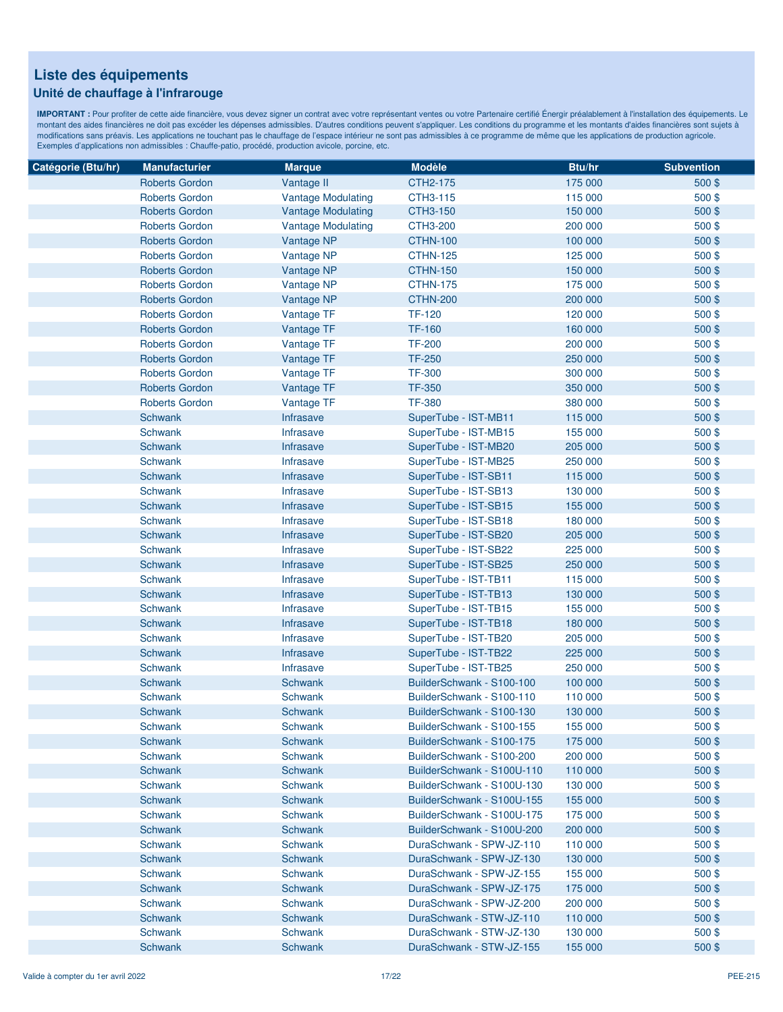#### **Unité de chauffage à l'infrarouge**

| Catégorie (Btu/hr) | <b>Manufacturier</b>  | <b>Marque</b>             | <b>Modèle</b>              | Btu/hr  | <b>Subvention</b> |
|--------------------|-----------------------|---------------------------|----------------------------|---------|-------------------|
|                    | <b>Roberts Gordon</b> | Vantage II                | CTH2-175                   | 175 000 | 500\$             |
|                    | <b>Roberts Gordon</b> | <b>Vantage Modulating</b> | CTH3-115                   | 115 000 | 500\$             |
|                    | <b>Roberts Gordon</b> | <b>Vantage Modulating</b> | CTH3-150                   | 150 000 | 500\$             |
|                    | <b>Roberts Gordon</b> | <b>Vantage Modulating</b> | CTH3-200                   | 200 000 | 500\$             |
|                    | <b>Roberts Gordon</b> | Vantage NP                | <b>CTHN-100</b>            | 100 000 | 500\$             |
|                    | <b>Roberts Gordon</b> | Vantage NP                | <b>CTHN-125</b>            | 125 000 | 500\$             |
|                    | <b>Roberts Gordon</b> | Vantage NP                | <b>CTHN-150</b>            | 150 000 | 500\$             |
|                    | <b>Roberts Gordon</b> | Vantage NP                | <b>CTHN-175</b>            | 175 000 | 500\$             |
|                    | <b>Roberts Gordon</b> | Vantage NP                | <b>CTHN-200</b>            | 200 000 | 500\$             |
|                    | <b>Roberts Gordon</b> | Vantage TF                | <b>TF-120</b>              | 120 000 | 500\$             |
|                    | <b>Roberts Gordon</b> | Vantage TF                | <b>TF-160</b>              | 160 000 | 500\$             |
|                    | <b>Roberts Gordon</b> | Vantage TF                | <b>TF-200</b>              | 200 000 | 500\$             |
|                    | <b>Roberts Gordon</b> | Vantage TF                | <b>TF-250</b>              | 250 000 | 500\$             |
|                    | <b>Roberts Gordon</b> | Vantage TF                | <b>TF-300</b>              | 300 000 | 500\$             |
|                    | <b>Roberts Gordon</b> | Vantage TF                | <b>TF-350</b>              | 350 000 | 500\$             |
|                    | <b>Roberts Gordon</b> | Vantage TF                | <b>TF-380</b>              | 380 000 | 500\$             |
|                    | Schwank               | Infrasave                 | SuperTube - IST-MB11       | 115 000 | 500\$             |
|                    | <b>Schwank</b>        | Infrasave                 | SuperTube - IST-MB15       | 155 000 | 500\$             |
|                    | Schwank               | Infrasave                 | SuperTube - IST-MB20       | 205 000 | 500\$             |
|                    | Schwank               | Infrasave                 | SuperTube - IST-MB25       | 250 000 | 500\$             |
|                    | Schwank               | Infrasave                 | SuperTube - IST-SB11       | 115 000 | 500\$             |
|                    | Schwank               | Infrasave                 | SuperTube - IST-SB13       | 130 000 | 500\$             |
|                    | Schwank               | Infrasave                 | SuperTube - IST-SB15       | 155 000 | 500\$             |
|                    | Schwank               | Infrasave                 | SuperTube - IST-SB18       | 180 000 | 500\$             |
|                    | Schwank               | Infrasave                 | SuperTube - IST-SB20       | 205 000 | 500\$             |
|                    | Schwank               | <b>Infrasave</b>          | SuperTube - IST-SB22       | 225 000 | 500\$             |
|                    | Schwank               | Infrasave                 | SuperTube - IST-SB25       | 250 000 | 500\$             |
|                    | <b>Schwank</b>        | <b>Infrasave</b>          | SuperTube - IST-TB11       | 115 000 | 500\$             |
|                    | Schwank               | <b>Infrasave</b>          | SuperTube - IST-TB13       | 130 000 | 500\$             |
|                    | Schwank               | Infrasave                 | SuperTube - IST-TB15       | 155 000 | 500\$             |
|                    | Schwank               | <b>Infrasave</b>          | SuperTube - IST-TB18       | 180 000 | 500\$             |
|                    | Schwank               | <b>Infrasave</b>          | SuperTube - IST-TB20       | 205 000 | 500\$             |
|                    | Schwank               | Infrasave                 | SuperTube - IST-TB22       | 225 000 | 500\$             |
|                    | Schwank               | Infrasave                 | SuperTube - IST-TB25       | 250 000 | $500$ \$          |
|                    | Schwank               | <b>Schwank</b>            | BuilderSchwank - S100-100  | 100 000 | 500\$             |
|                    | Schwank               | <b>Schwank</b>            | BuilderSchwank - S100-110  | 110 000 | 500\$             |
|                    | Schwank               | <b>Schwank</b>            | BuilderSchwank - S100-130  | 130 000 | 500\$             |
|                    | <b>Schwank</b>        | <b>Schwank</b>            | BuilderSchwank - S100-155  | 155 000 | 500\$             |
|                    | Schwank               | Schwank                   | BuilderSchwank - S100-175  | 175 000 | 500\$             |
|                    | Schwank               | Schwank                   | BuilderSchwank - S100-200  | 200 000 | 500\$             |
|                    | Schwank               | Schwank                   | BuilderSchwank - S100U-110 | 110 000 | 500\$             |
|                    | Schwank               | Schwank                   | BuilderSchwank - S100U-130 | 130 000 | 500\$             |
|                    | Schwank               | Schwank                   | BuilderSchwank - S100U-155 | 155 000 | 500\$             |
|                    | Schwank               | <b>Schwank</b>            | BuilderSchwank - S100U-175 | 175 000 | $500$ \$          |
|                    | <b>Schwank</b>        | <b>Schwank</b>            | BuilderSchwank - S100U-200 | 200 000 | 500\$             |
|                    | Schwank               | Schwank                   | DuraSchwank - SPW-JZ-110   | 110 000 | 500\$             |
|                    | Schwank               | Schwank                   | DuraSchwank - SPW-JZ-130   | 130 000 | 500\$             |
|                    | Schwank               | <b>Schwank</b>            | DuraSchwank - SPW-JZ-155   | 155 000 | $500$ \$          |
|                    | Schwank               | <b>Schwank</b>            | DuraSchwank - SPW-JZ-175   | 175 000 | 500\$             |
|                    | Schwank               | Schwank                   | DuraSchwank - SPW-JZ-200   | 200 000 | $500$ \$          |
|                    | Schwank               | <b>Schwank</b>            | DuraSchwank - STW-JZ-110   | 110 000 | 500\$             |
|                    | Schwank               | Schwank                   | DuraSchwank - STW-JZ-130   | 130 000 | 500\$             |
|                    | Schwank               | Schwank                   | DuraSchwank - STW-JZ-155   | 155 000 | 500\$             |
|                    |                       |                           |                            |         |                   |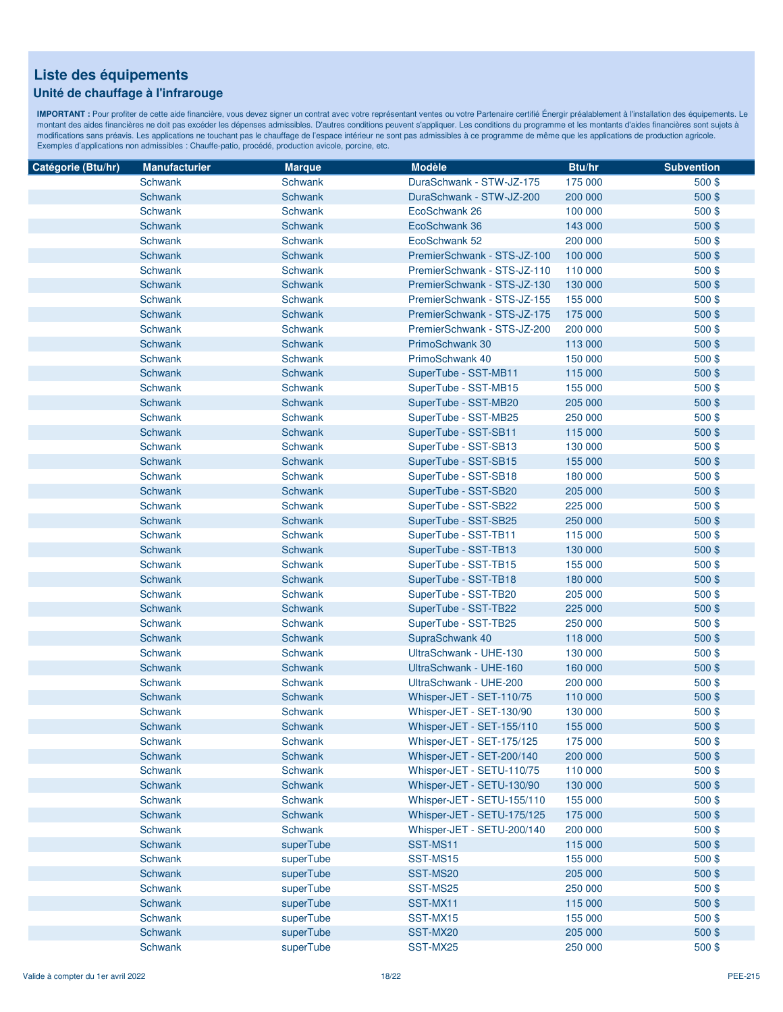### **Unité de chauffage à l'infrarouge**

| Catégorie (Btu/hr) | <b>Manufacturier</b> | <b>Marque</b>  | <b>Modèle</b>               | Btu/hr  | <b>Subvention</b> |
|--------------------|----------------------|----------------|-----------------------------|---------|-------------------|
|                    | <b>Schwank</b>       | <b>Schwank</b> | DuraSchwank - STW-JZ-175    | 175 000 | 500\$             |
|                    | Schwank              | Schwank        | DuraSchwank - STW-JZ-200    | 200 000 | 500\$             |
|                    | Schwank              | Schwank        | EcoSchwank 26               | 100 000 | 500\$             |
|                    | Schwank              | Schwank        | EcoSchwank 36               | 143 000 | 500\$             |
|                    | Schwank              | <b>Schwank</b> | EcoSchwank 52               | 200 000 | 500\$             |
|                    | Schwank              | <b>Schwank</b> | PremierSchwank - STS-JZ-100 | 100 000 | 500\$             |
|                    | Schwank              | Schwank        | PremierSchwank - STS-JZ-110 | 110 000 | 500\$             |
|                    | Schwank              | <b>Schwank</b> | PremierSchwank - STS-JZ-130 | 130 000 | 500\$             |
|                    | Schwank              | Schwank        | PremierSchwank - STS-JZ-155 | 155 000 | 500\$             |
|                    | Schwank              | Schwank        | PremierSchwank - STS-JZ-175 | 175 000 | 500\$             |
|                    | Schwank              | <b>Schwank</b> | PremierSchwank - STS-JZ-200 | 200 000 | 500\$             |
|                    | Schwank              | Schwank        | PrimoSchwank 30             | 113 000 | 500\$             |
|                    | Schwank              | Schwank        | PrimoSchwank 40             | 150 000 | 500\$             |
|                    | Schwank              | Schwank        | SuperTube - SST-MB11        | 115 000 | 500\$             |
|                    | Schwank              | Schwank        | SuperTube - SST-MB15        | 155 000 | 500\$             |
|                    | Schwank              | <b>Schwank</b> | SuperTube - SST-MB20        | 205 000 | 500\$             |
|                    | <b>Schwank</b>       | <b>Schwank</b> | SuperTube - SST-MB25        | 250 000 | 500\$             |
|                    | Schwank              | <b>Schwank</b> | SuperTube - SST-SB11        | 115 000 | 500\$             |
|                    | Schwank              | Schwank        | SuperTube - SST-SB13        | 130 000 | 500\$             |
|                    | Schwank              | <b>Schwank</b> | SuperTube - SST-SB15        | 155 000 | 500\$             |
|                    | Schwank              | Schwank        | SuperTube - SST-SB18        | 180 000 | 500\$             |
|                    | Schwank              | Schwank        | SuperTube - SST-SB20        | 205 000 | 500\$             |
|                    | Schwank              | <b>Schwank</b> | SuperTube - SST-SB22        | 225 000 | 500\$             |
|                    | Schwank              | Schwank        | SuperTube - SST-SB25        | 250 000 | 500\$             |
|                    | Schwank              | Schwank        | SuperTube - SST-TB11        | 115 000 | 500\$             |
|                    | Schwank              | Schwank        | SuperTube - SST-TB13        | 130 000 | 500\$             |
|                    | Schwank              | Schwank        | SuperTube - SST-TB15        | 155 000 | 500\$             |
|                    | Schwank              | Schwank        | SuperTube - SST-TB18        | 180 000 | 500\$             |
|                    | Schwank              | <b>Schwank</b> | SuperTube - SST-TB20        | 205 000 | 500\$             |
|                    | Schwank              | Schwank        | SuperTube - SST-TB22        | 225 000 | 500\$             |
|                    | Schwank              | Schwank        | SuperTube - SST-TB25        | 250 000 | 500\$             |
|                    | Schwank              | <b>Schwank</b> | SupraSchwank 40             | 118 000 | 500\$             |
|                    | Schwank              | <b>Schwank</b> | UltraSchwank - UHE-130      | 130 000 | 500\$             |
|                    | Schwank              | <b>Schwank</b> | UltraSchwank - UHE-160      | 160 000 | 500\$             |
|                    | Schwank              | Schwank        | UltraSchwank - UHE-200      | 200 000 | 500\$             |
|                    | Schwank              | <b>Schwank</b> | Whisper-JET - SET-110/75    | 110 000 | 500\$             |
|                    | Schwank              | Schwank        | Whisper-JET - SET-130/90    | 130 000 | 500\$             |
|                    | Schwank              | <b>Schwank</b> | Whisper-JET - SET-155/110   | 155 000 | 500\$             |
|                    | Schwank              | Schwank        | Whisper-JET - SET-175/125   | 175 000 | 500\$             |
|                    | Schwank              | Schwank        | Whisper-JET - SET-200/140   | 200 000 | 500\$             |
|                    | Schwank              | Schwank        | Whisper-JET - SETU-110/75   | 110 000 | 500\$             |
|                    | Schwank              | Schwank        | Whisper-JET - SETU-130/90   | 130 000 | 500\$             |
|                    | Schwank              | Schwank        | Whisper-JET - SETU-155/110  | 155 000 | 500\$             |
|                    | Schwank              | Schwank        | Whisper-JET - SETU-175/125  | 175 000 | 500\$             |
|                    | Schwank              | Schwank        | Whisper-JET - SETU-200/140  | 200 000 | 500\$             |
|                    | Schwank              | superTube      | SST-MS11                    | 115 000 | 500\$             |
|                    | Schwank              | superTube      | SST-MS15                    | 155 000 | 500\$             |
|                    | Schwank              | superTube      | SST-MS20                    | 205 000 | 500\$             |
|                    | Schwank              | superTube      | SST-MS25                    | 250 000 | $500$ \$          |
|                    | Schwank              | superTube      | SST-MX11                    | 115 000 | 500\$             |
|                    | Schwank              | superTube      | SST-MX15                    | 155 000 | 500\$             |
|                    | Schwank              | superTube      | SST-MX20                    | 205 000 | 500\$             |
|                    | Schwank              | superTube      | SST-MX25                    | 250 000 | 500\$             |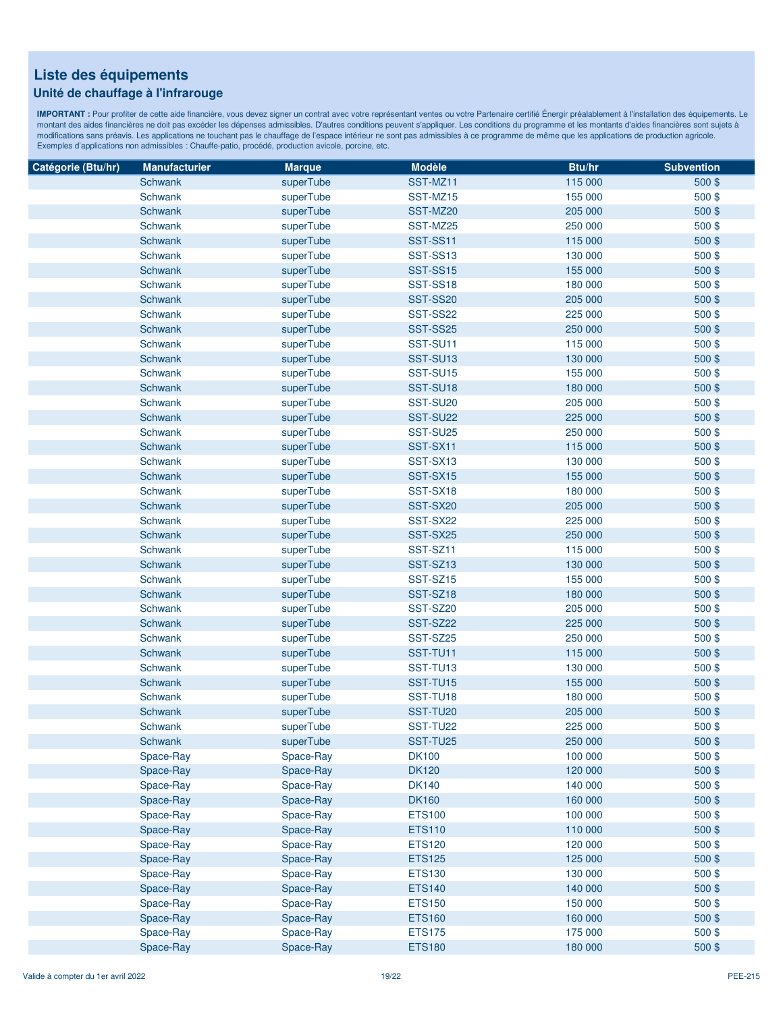### **Unité de chauffage à l'infrarouge**

| Catégorie (Btu/hr) | <b>Manufacturier</b> | <b>Marque</b> | <b>Modèle</b>   | Btu/hr  | <b>Subvention</b> |
|--------------------|----------------------|---------------|-----------------|---------|-------------------|
|                    | Schwank              | superTube     | SST-MZ11        | 115 000 | $500$ \$          |
|                    | Schwank              | superTube     | SST-MZ15        | 155 000 | 500\$             |
|                    | Schwank              | superTube     | SST-MZ20        | 205 000 | 500\$             |
|                    | Schwank              | superTube     | SST-MZ25        | 250 000 | 500\$             |
|                    | Schwank              | superTube     | SST-SS11        | 115 000 | 500\$             |
|                    | Schwank              | superTube     | SST-SS13        | 130 000 | 500\$             |
|                    | Schwank              | superTube     | <b>SST-SS15</b> | 155 000 | 500\$             |
|                    | Schwank              | superTube     | SST-SS18        | 180 000 | 500\$             |
|                    | Schwank              | superTube     | <b>SST-SS20</b> | 205 000 | 500\$             |
|                    | Schwank              | superTube     | <b>SST-SS22</b> | 225 000 | 500\$             |
|                    | Schwank              | superTube     | <b>SST-SS25</b> | 250 000 | 500\$             |
|                    | Schwank              | superTube     | SST-SU11        | 115 000 | 500\$             |
|                    | Schwank              | superTube     | SST-SU13        | 130 000 | 500\$             |
|                    | Schwank              | superTube     | SST-SU15        | 155 000 | 500\$             |
|                    | Schwank              | superTube     | SST-SU18        | 180 000 | 500\$             |
|                    | Schwank              | superTube     | SST-SU20        | 205 000 | 500\$             |
|                    | Schwank              | superTube     | SST-SU22        | 225 000 | 500\$             |
|                    | Schwank              | superTube     | SST-SU25        | 250 000 | 500\$             |
|                    | Schwank              | superTube     | SST-SX11        | 115 000 | 500\$             |
|                    | Schwank              | superTube     | SST-SX13        | 130 000 | 500\$             |
|                    | Schwank              | superTube     | SST-SX15        | 155 000 | 500\$             |
|                    | Schwank              | superTube     | SST-SX18        | 180 000 | 500\$             |
|                    | Schwank              | superTube     | SST-SX20        | 205 000 | 500\$             |
|                    | Schwank              | superTube     | SST-SX22        | 225 000 | 500\$             |
|                    | Schwank              | superTube     | SST-SX25        | 250 000 | 500\$             |
|                    | Schwank              | superTube     | SST-SZ11        | 115 000 | 500\$             |
|                    | Schwank              | superTube     | SST-SZ13        | 130 000 | 500\$             |
|                    | Schwank              | superTube     | SST-SZ15        | 155 000 | 500\$             |
|                    | Schwank              | superTube     | SST-SZ18        | 180 000 | 500\$             |
|                    | Schwank              | superTube     | SST-SZ20        | 205 000 | 500\$             |
|                    | Schwank              | superTube     | SST-SZ22        | 225 000 | 500\$             |
|                    | Schwank              | superTube     | SST-SZ25        | 250 000 | 500\$             |
|                    | Schwank              | superTube     | SST-TU11        | 115 000 | 500\$             |
|                    | Schwank              | superTube     | SST-TU13        | 130 000 | 500\$             |
|                    | Schwank              | superTube     | SST-TU15        | 155 000 | 500\$             |
|                    | <b>Schwank</b>       | superTube     | SST-TU18        | 180 000 | 500\$             |
|                    | Schwank              | superTube     | SST-TU20        | 205 000 | 500\$             |
|                    | <b>Schwank</b>       | superTube     | SST-TU22        | 225 000 | 500\$             |
|                    | Schwank              | superTube     | SST-TU25        | 250 000 | 500\$             |
|                    | Space-Ray            | Space-Ray     | <b>DK100</b>    | 100 000 | 500\$             |
|                    | Space-Ray            | Space-Ray     | <b>DK120</b>    | 120 000 | 500\$             |
|                    | Space-Ray            | Space-Ray     | <b>DK140</b>    | 140 000 | 500\$             |
|                    | Space-Ray            | Space-Ray     | <b>DK160</b>    | 160 000 | 500\$             |
|                    | Space-Ray            | Space-Ray     | <b>ETS100</b>   | 100 000 | 500\$             |
|                    | Space-Ray            | Space-Ray     | <b>ETS110</b>   | 110 000 | 500\$             |
|                    | Space-Ray            | Space-Ray     | <b>ETS120</b>   | 120 000 | 500\$             |
|                    | Space-Ray            | Space-Ray     | <b>ETS125</b>   | 125 000 | 500\$             |
|                    | Space-Ray            | Space-Ray     | <b>ETS130</b>   | 130 000 | 500\$             |
|                    | Space-Ray            | Space-Ray     | <b>ETS140</b>   | 140 000 | 500\$             |
|                    | Space-Ray            | Space-Ray     | <b>ETS150</b>   | 150 000 | 500\$             |
|                    | Space-Ray            | Space-Ray     | <b>ETS160</b>   | 160 000 | 500\$             |
|                    | Space-Ray            | Space-Ray     | <b>ETS175</b>   | 175 000 | 500\$             |
|                    | Space-Ray            | Space-Ray     | <b>ETS180</b>   | 180 000 | 500\$             |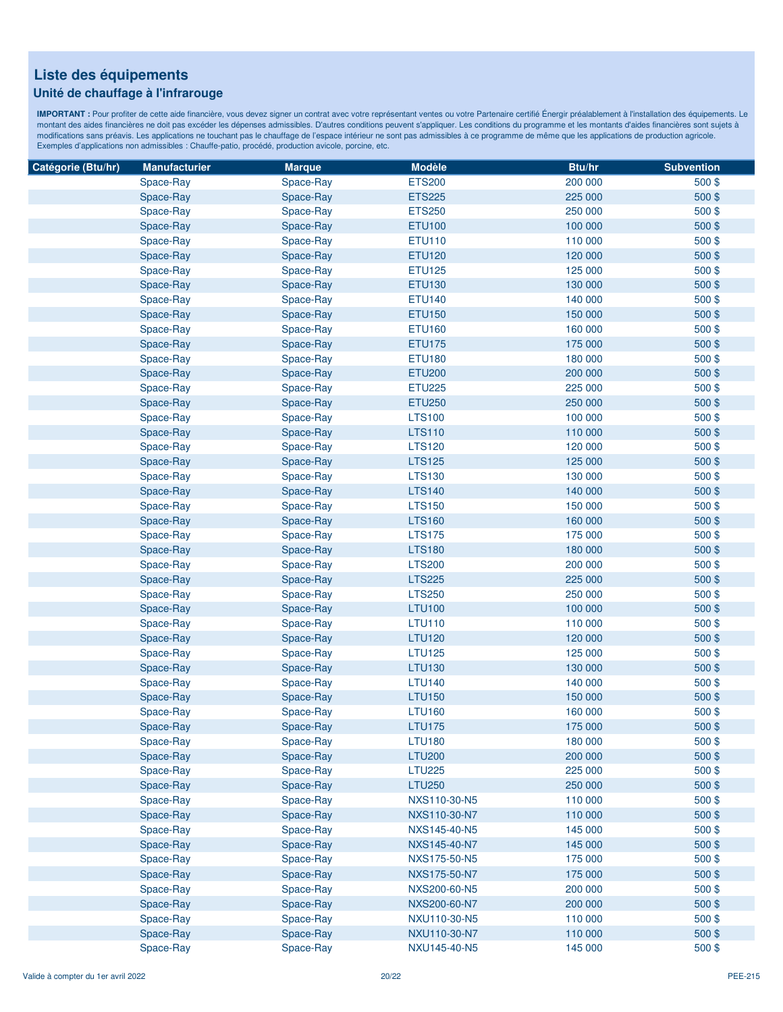### **Unité de chauffage à l'infrarouge**

| Catégorie (Btu/hr) | <b>Manufacturier</b> | <b>Marque</b> | <b>Modèle</b> | Btu/hr  | <b>Subvention</b> |
|--------------------|----------------------|---------------|---------------|---------|-------------------|
|                    | Space-Ray            | Space-Ray     | <b>ETS200</b> | 200 000 | 500\$             |
|                    | Space-Ray            | Space-Ray     | <b>ETS225</b> | 225 000 | 500\$             |
|                    | Space-Ray            | Space-Ray     | <b>ETS250</b> | 250 000 | 500\$             |
|                    | Space-Ray            | Space-Ray     | <b>ETU100</b> | 100 000 | 500\$             |
|                    | Space-Ray            | Space-Ray     | <b>ETU110</b> | 110 000 | 500\$             |
|                    | Space-Ray            | Space-Ray     | <b>ETU120</b> | 120 000 | 500\$             |
|                    | Space-Ray            | Space-Ray     | <b>ETU125</b> | 125 000 | 500\$             |
|                    | Space-Ray            | Space-Ray     | <b>ETU130</b> | 130 000 | 500\$             |
|                    | Space-Ray            | Space-Ray     | <b>ETU140</b> | 140 000 | 500\$             |
|                    | Space-Ray            | Space-Ray     | <b>ETU150</b> | 150 000 | 500\$             |
|                    | Space-Ray            | Space-Ray     | <b>ETU160</b> | 160 000 | 500\$             |
|                    | Space-Ray            | Space-Ray     | <b>ETU175</b> | 175 000 | 500\$             |
|                    | Space-Ray            | Space-Ray     | <b>ETU180</b> | 180 000 | 500\$             |
|                    | Space-Ray            | Space-Ray     | <b>ETU200</b> | 200 000 | 500\$             |
|                    | Space-Ray            | Space-Ray     | <b>ETU225</b> | 225 000 | 500\$             |
|                    | Space-Ray            | Space-Ray     | <b>ETU250</b> | 250 000 | 500\$             |
|                    | Space-Ray            | Space-Ray     | <b>LTS100</b> | 100 000 | 500\$             |
|                    | Space-Ray            | Space-Ray     | <b>LTS110</b> | 110 000 | 500\$             |
|                    | Space-Ray            | Space-Ray     | <b>LTS120</b> | 120 000 | 500\$             |
|                    | Space-Ray            | Space-Ray     | <b>LTS125</b> | 125 000 | 500\$             |
|                    |                      |               | <b>LTS130</b> | 130 000 | 500\$             |
|                    | Space-Ray            | Space-Ray     |               |         |                   |
|                    | Space-Ray            | Space-Ray     | <b>LTS140</b> | 140 000 | 500\$             |
|                    | Space-Ray            | Space-Ray     | <b>LTS150</b> | 150 000 | 500\$             |
|                    | Space-Ray            | Space-Ray     | <b>LTS160</b> | 160 000 | 500\$             |
|                    | Space-Ray            | Space-Ray     | <b>LTS175</b> | 175 000 | 500\$             |
|                    | Space-Ray            | Space-Ray     | <b>LTS180</b> | 180 000 | 500\$             |
|                    | Space-Ray            | Space-Ray     | <b>LTS200</b> | 200 000 | 500\$             |
|                    | Space-Ray            | Space-Ray     | <b>LTS225</b> | 225 000 | 500\$             |
|                    | Space-Ray            | Space-Ray     | <b>LTS250</b> | 250 000 | 500\$             |
|                    | Space-Ray            | Space-Ray     | <b>LTU100</b> | 100 000 | 500 \$            |
|                    | Space-Ray            | Space-Ray     | <b>LTU110</b> | 110 000 | 500\$             |
|                    | Space-Ray            | Space-Ray     | <b>LTU120</b> | 120 000 | 500 \$            |
|                    | Space-Ray            | Space-Ray     | <b>LTU125</b> | 125 000 | 500\$             |
|                    | Space-Ray            | Space-Ray     | <b>LTU130</b> | 130 000 | 500\$             |
|                    | Space-Ray            | Space-Ray     | <b>LTU140</b> | 140 000 | 500\$             |
|                    | Space-Ray            | Space-Ray     | <b>LTU150</b> | 150 000 | 500\$             |
|                    | Space-Ray            | Space-Ray     | <b>LTU160</b> | 160 000 | 500\$             |
|                    | Space-Ray            | Space-Ray     | <b>LTU175</b> | 175 000 | 500\$             |
|                    | Space-Ray            | Space-Ray     | <b>LTU180</b> | 180 000 | 500\$             |
|                    | Space-Ray            | Space-Ray     | <b>LTU200</b> | 200 000 | 500\$             |
|                    | Space-Ray            | Space-Ray     | <b>LTU225</b> | 225 000 | 500\$             |
|                    | Space-Ray            | Space-Ray     | <b>LTU250</b> | 250 000 | 500\$             |
|                    | Space-Ray            | Space-Ray     | NXS110-30-N5  | 110 000 | 500\$             |
|                    | Space-Ray            | Space-Ray     | NXS110-30-N7  | 110 000 | 500\$             |
|                    | Space-Ray            | Space-Ray     | NXS145-40-N5  | 145 000 | 500\$             |
|                    | Space-Ray            | Space-Ray     | NXS145-40-N7  | 145 000 | 500\$             |
|                    | Space-Ray            | Space-Ray     | NXS175-50-N5  | 175 000 | 500\$             |
|                    | Space-Ray            | Space-Ray     | NXS175-50-N7  | 175 000 | 500\$             |
|                    | Space-Ray            | Space-Ray     | NXS200-60-N5  | 200 000 | 500\$             |
|                    | Space-Ray            | Space-Ray     | NXS200-60-N7  | 200 000 | 500\$             |
|                    | Space-Ray            | Space-Ray     | NXU110-30-N5  | 110 000 | 500\$             |
|                    | Space-Ray            | Space-Ray     | NXU110-30-N7  | 110 000 | 500\$             |
|                    | Space-Ray            | Space-Ray     | NXU145-40-N5  | 145 000 | 500\$             |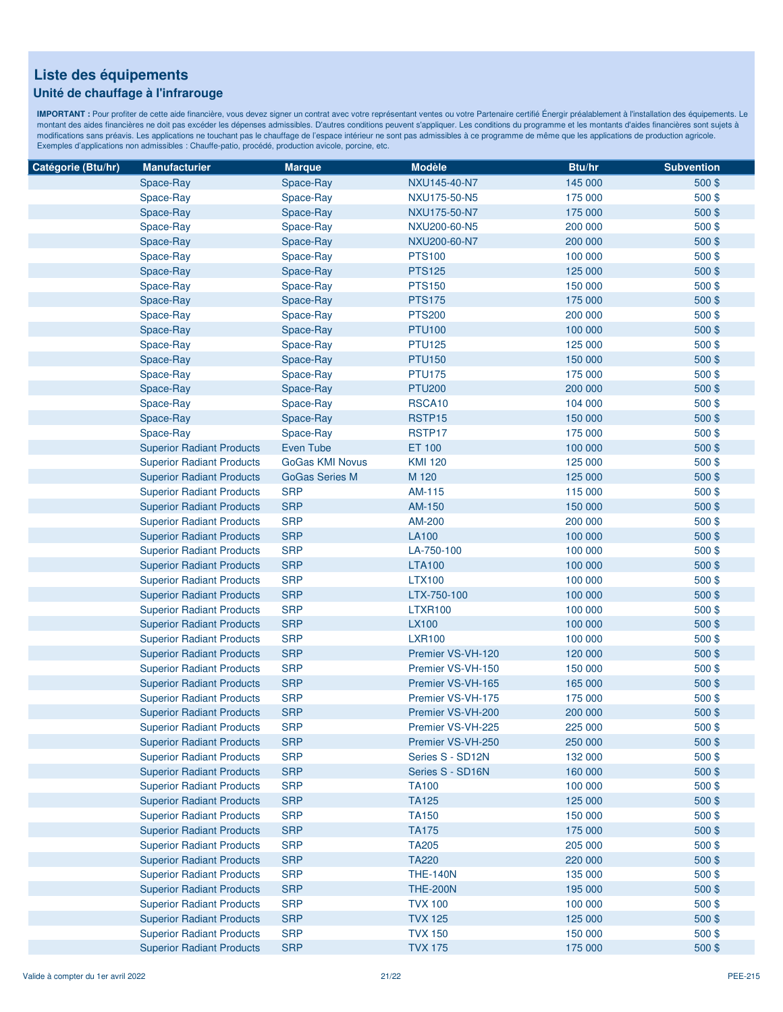### **Unité de chauffage à l'infrarouge**

| Catégorie (Btu/hr) | <b>Manufacturier</b>             | <b>Marque</b>          | <b>Modèle</b>     | Btu/hr  | <b>Subvention</b> |
|--------------------|----------------------------------|------------------------|-------------------|---------|-------------------|
|                    | Space-Ray                        | Space-Ray              | NXU145-40-N7      | 145 000 | 500\$             |
|                    | Space-Ray                        | Space-Ray              | NXU175-50-N5      | 175 000 | 500\$             |
|                    | Space-Ray                        | Space-Ray              | NXU175-50-N7      | 175 000 | 500\$             |
|                    | Space-Ray                        | Space-Ray              | NXU200-60-N5      | 200 000 | 500\$             |
|                    | Space-Ray                        | Space-Ray              | NXU200-60-N7      | 200 000 | 500\$             |
|                    | Space-Ray                        | Space-Ray              | <b>PTS100</b>     | 100 000 | 500\$             |
|                    | Space-Ray                        | Space-Ray              | <b>PTS125</b>     | 125 000 | 500\$             |
|                    | Space-Ray                        | Space-Ray              | <b>PTS150</b>     | 150 000 | 500\$             |
|                    | Space-Ray                        | Space-Ray              | <b>PTS175</b>     | 175 000 | 500\$             |
|                    | Space-Ray                        | Space-Ray              | <b>PTS200</b>     | 200 000 | 500\$             |
|                    | Space-Ray                        | Space-Ray              | <b>PTU100</b>     | 100 000 | 500\$             |
|                    | Space-Ray                        | Space-Ray              | <b>PTU125</b>     | 125 000 | 500\$             |
|                    | Space-Ray                        | Space-Ray              | <b>PTU150</b>     | 150 000 | 500\$             |
|                    | Space-Ray                        | Space-Ray              | <b>PTU175</b>     | 175 000 | 500\$             |
|                    | Space-Ray                        | Space-Ray              | <b>PTU200</b>     | 200 000 | 500\$             |
|                    | Space-Ray                        | Space-Ray              | RSCA10            | 104 000 | 500\$             |
|                    | Space-Ray                        | Space-Ray              | RSTP15            | 150 000 | 500\$             |
|                    | Space-Ray                        | Space-Ray              | RSTP17            | 175 000 | 500\$             |
|                    | <b>Superior Radiant Products</b> | Even Tube              | ET 100            | 100 000 | 500\$             |
|                    |                                  | <b>GoGas KMI Novus</b> | <b>KMI 120</b>    | 125 000 | 500\$             |
|                    | <b>Superior Radiant Products</b> |                        | M 120             |         |                   |
|                    | <b>Superior Radiant Products</b> | <b>GoGas Series M</b>  |                   | 125 000 | 500\$             |
|                    | <b>Superior Radiant Products</b> | <b>SRP</b>             | AM-115            | 115 000 | 500\$             |
|                    | <b>Superior Radiant Products</b> | <b>SRP</b>             | AM-150            | 150 000 | 500\$             |
|                    | <b>Superior Radiant Products</b> | <b>SRP</b>             | AM-200            | 200 000 | 500\$             |
|                    | <b>Superior Radiant Products</b> | <b>SRP</b>             | <b>LA100</b>      | 100 000 | 500\$             |
|                    | <b>Superior Radiant Products</b> | <b>SRP</b>             | LA-750-100        | 100 000 | 500\$             |
|                    | <b>Superior Radiant Products</b> | <b>SRP</b>             | <b>LTA100</b>     | 100 000 | 500\$             |
|                    | <b>Superior Radiant Products</b> | <b>SRP</b>             | <b>LTX100</b>     | 100 000 | 500\$             |
|                    | <b>Superior Radiant Products</b> | <b>SRP</b>             | LTX-750-100       | 100 000 | 500\$             |
|                    | <b>Superior Radiant Products</b> | <b>SRP</b>             | <b>LTXR100</b>    | 100 000 | 500\$             |
|                    | <b>Superior Radiant Products</b> | <b>SRP</b>             | <b>LX100</b>      | 100 000 | 500\$             |
|                    | <b>Superior Radiant Products</b> | <b>SRP</b>             | <b>LXR100</b>     | 100 000 | 500\$             |
|                    | <b>Superior Radiant Products</b> | <b>SRP</b>             | Premier VS-VH-120 | 120 000 | 500\$             |
|                    | <b>Superior Radiant Products</b> | <b>SRP</b>             | Premier VS-VH-150 | 150 000 | 500\$             |
|                    | <b>Superior Radiant Products</b> | <b>SRP</b>             | Premier VS-VH-165 | 165 000 | 500\$             |
|                    | <b>Superior Radiant Products</b> | <b>SRP</b>             | Premier VS-VH-175 | 175 000 | 500\$             |
|                    | <b>Superior Radiant Products</b> | <b>SRP</b>             | Premier VS-VH-200 | 200 000 | 500\$             |
|                    | <b>Superior Radiant Products</b> | <b>SRP</b>             | Premier VS-VH-225 | 225 000 | 500\$             |
|                    | <b>Superior Radiant Products</b> | <b>SRP</b>             | Premier VS-VH-250 | 250 000 | 500\$             |
|                    | <b>Superior Radiant Products</b> | <b>SRP</b>             | Series S - SD12N  | 132 000 | 500\$             |
|                    | <b>Superior Radiant Products</b> | <b>SRP</b>             | Series S - SD16N  | 160 000 | 500\$             |
|                    | <b>Superior Radiant Products</b> | <b>SRP</b>             | <b>TA100</b>      | 100 000 | 500\$             |
|                    | <b>Superior Radiant Products</b> | <b>SRP</b>             | <b>TA125</b>      | 125 000 | 500\$             |
|                    | <b>Superior Radiant Products</b> | <b>SRP</b>             | <b>TA150</b>      | 150 000 | 500\$             |
|                    | <b>Superior Radiant Products</b> | <b>SRP</b>             | <b>TA175</b>      | 175 000 | 500\$             |
|                    | <b>Superior Radiant Products</b> | <b>SRP</b>             | <b>TA205</b>      | 205 000 | 500\$             |
|                    | <b>Superior Radiant Products</b> | <b>SRP</b>             | <b>TA220</b>      | 220 000 | 500\$             |
|                    | <b>Superior Radiant Products</b> | <b>SRP</b>             | <b>THE-140N</b>   | 135 000 | $500$ \$          |
|                    | <b>Superior Radiant Products</b> | <b>SRP</b>             | <b>THE-200N</b>   | 195 000 | 500\$             |
|                    | <b>Superior Radiant Products</b> | <b>SRP</b>             | <b>TVX 100</b>    | 100 000 | 500\$             |
|                    | <b>Superior Radiant Products</b> | <b>SRP</b>             | <b>TVX 125</b>    | 125 000 | 500\$             |
|                    | <b>Superior Radiant Products</b> | <b>SRP</b>             | <b>TVX 150</b>    | 150 000 | 500\$             |
|                    | <b>Superior Radiant Products</b> | <b>SRP</b>             | <b>TVX 175</b>    | 175 000 | 500\$             |